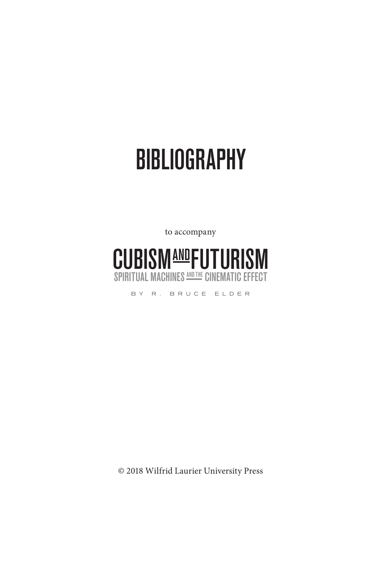# **BIBLIOGRAPHY**

to accompany



BY R. BRUCE ELDER

© 2018 Wilfrid Laurier University Press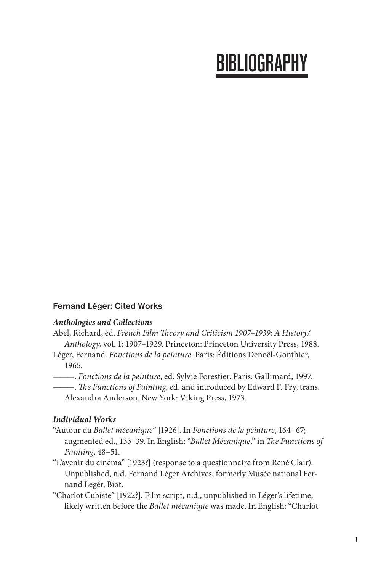# **BIBLIOGRAPHY**

# Fernand Léger: Cited Works

## *Anthologies and Collections*

- Abel, Richard, ed. *French Film Theory and Criticism 1907–1939: A History/ Anthology*, vol. 1: 1907–1929. Princeton: Princeton University Press, 1988.
- Léger, Fernand. *Fonctions de la peinture*. Paris: Éditions Denoël-Gonthier, 1965.

———. *Fonctions de la peinture*, ed. Sylvie Forestier. Paris: Gallimard, 1997.

———. *The Functions of Painting*, ed. and introduced by Edward F. Fry, trans. Alexandra Anderson. New York: Viking Press, 1973.

## *Individual Works*

- "Autour du *Ballet mécanique*" [1926]. In *Fonctions de la peinture*, 164–67; augmented ed., 133–39. In English: "*Ballet Mécanique*," in *The Functions of Painting*, 48–51.
- "L'avenir du cinéma" [1923?] (response to a questionnaire from René Clair). Unpublished, n.d. Fernand Léger Archives, formerly Musée national Fernand Legér, Biot.
- "Charlot Cubiste" [1922?]. Film script, n.d., unpublished in Léger's lifetime, likely written before the *Ballet mécanique* was made. In English: "Charlot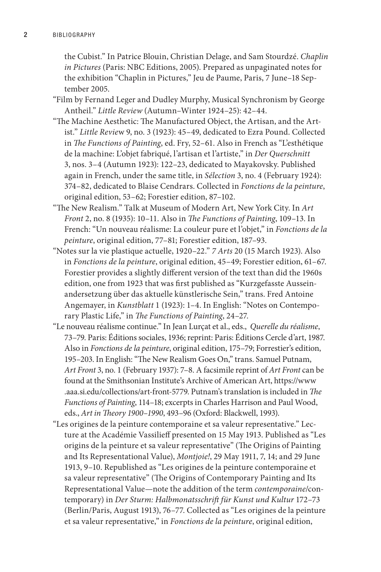the Cubist." In Patrice Blouin, Christian Delage, and Sam Stourdzé. *Chaplin in Pictures* (Paris: NBC Editions, 2005). Prepared as unpaginated notes for the exhibition "Chaplin in Pictures," Jeu de Paume, Paris, 7 June–18 September 2005.

"Film by Fernand Leger and Dudley Murphy, Musical Synchronism by George Antheil." *Little Review* (Autumn–Winter 1924–25): 42–44.

- "The Machine Aesthetic: The Manufactured Object, the Artisan, and the Artist." *Little Revie*w 9, no. 3 (1923): 45–49, dedicated to Ezra Pound. Collected in *The Functions of Painting*, ed. Fry, 52–61. Also in French as "L'esthétique de la machine: L'objet fabriqué, l'artisan et l'artiste," in *Der Querschnitt* 3, nos. 3–4 (Autumn 1923): 122–23, dedicated to Mayakovsky. Published again in French, under the same title, in *Sélection* 3, no. 4 (February 1924): 374–82, dedicated to Blaise Cendrars. Collected in *Fonctions de la peinture*, original edition, 53–62; Forestier edition, 87–102.
- "The New Realism." Talk at Museum of Modern Art, New York City. In *Art Front* 2, no. 8 (1935): 10–11. Also in *The Functions of Painting*, 109–13. In French: "Un nouveau réalisme: La couleur pure et l'objet," in *Fonctions de la peinture*, original edition, 77–81; Forestier edition, 187–93.
- "Notes sur la vie plastique actuelle, 1920–22." *7 Arts* 20 (15 March 1923). Also in *Fonctions de la peinture*, original edition, 45–49; Forestier edition, 61–67. Forestier provides a slightly different version of the text than did the 1960s edition, one from 1923 that was first published as "Kurzgefasste Ausseinandersetzung über das aktuelle künstlerische Sein," trans. Fred Antoine Angemayer, in *Kunstblatt* 1 (1923): 1–4. In English: "Notes on Contemporary Plastic Life," in *The Functions of Painting*, 24–27.
- "Le nouveau réalisme continue." In Jean Lurçat et al., eds., *Querelle du réalisme*, 73–79. Paris: Éditions sociales, 1936; reprint: Paris: Éditions Cercle d'art, 1987. Also in *Fonctions de la peinture*, original edition, 175–79; Forrestier's edition, 195–203. In English: "The New Realism Goes On," trans. Samuel Putnam, *Art Front* 3, no. 1 (February 1937): 7–8. A facsimile reprint of *Art Front* can be found at the Smithsonian Institute's Archive of American Art, https://www .aaa.si.edu/collections/art-front-5779. Putnam's translation is included in *The Functions of Painting*, 114–18; excerpts in Charles Harrison and Paul Wood, eds., *Art in Theory 1900–1990*, 493–96 (Oxford: Blackwell, 1993).
- "Les origines de la peinture contemporaine et sa valeur representative." Lecture at the Académie Vassilieff presented on 15 May 1913. Published as "Les origins de la peinture et sa valeur representative" (The Origins of Painting and Its Representational Value), *Montjoie!*, 29 May 1911, 7, 14; and 29 June 1913, 9–10. Republished as "Les origines de la peinture contemporaine et sa valeur representative" (The Origins of Contemporary Painting and Its Representational Value—note the addition of the term *contemporaine*/contemporary) in *Der Sturm: Halbmonatsschrift für Kunst und Kultur* 172–73 (Berlin/Paris, August 1913), 76–77. Collected as "Les origines de la peinture et sa valeur representative," in *Fonctions de la peinture*, original edition,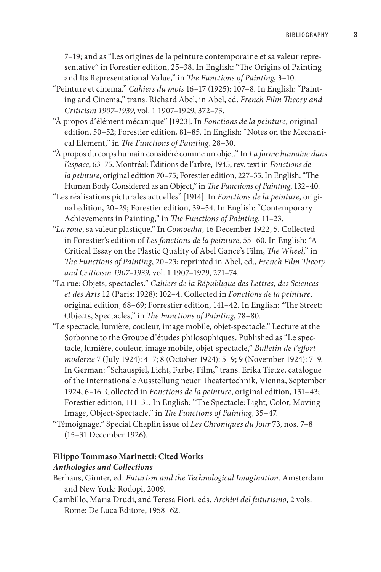7–19; and as "Les origines de la peinture contemporaine et sa valeur representative" in Forestier edition, 25–38. In English: "The Origins of Painting and Its Representational Value," in *The Functions of Painting*, 3–10.

- "Peinture et cinema." *Cahiers du mois* 16–17 (1925): 107–8. In English: "Painting and Cinema," trans. Richard Abel, in Abel, ed. *French Film Theory and Criticism 1907–1939*, vol. 1 1907–1929, 372–73.
- "À propos d'élément mécanique" [1923]. In *Fonctions de la peinture*, original edition, 50–52; Forestier edition, 81–85. In English: "Notes on the Mechanical Element," in *The Functions of Painting*, 28–30.
- "À propos du corps humain considéré comme un objet." In *La forme humaine dans l'espace*, 63–75. Montréal: Éditions de l'arbre, 1945; rev. text in *Fonctions de la peinture*, original edition 70–75; Forestier edition, 227–35. In English: "The Human Body Considered as an Object," in *The Functions of Painting*, 132–40.
- "Les réalisations picturales actuelles" [1914]. In *Fonctions de la peinture*, original edition, 20–29; Forestier edition, 39–54. In English: "Contemporary Achievements in Painting," in *The Functions of Painting*, 11–23.
- "*La roue*, sa valeur plastique." In *Comoedia*, 16 December 1922, 5. Collected in Forestier's edition of *Les fonctions de la peinture*, 55–60. In English: "A Critical Essay on the Plastic Quality of Abel Gance's Film, *The Wheel*," in *The Functions of Painting*, 20–23; reprinted in Abel, ed., *French Film Theory and Criticism 1907–1939*, vol. 1 1907–1929, 271–74.
- "La rue: Objets, spectacles." *Cahiers de la République des Lettres, des Sciences et des Arts* 12 (Paris: 1928): 102–4. Collected in *Fonctions de la peinture*, original edition, 68–69; Forrestier edition, 141–42. In English: "The Street: Objects, Spectacles," in *The Functions of Painting*, 78–80.
- "Le spectacle, lumière, couleur, image mobile, objet-spectacle." Lecture at the Sorbonne to the Groupe d'études philosophiques. Published as "Le spectacle, lumière, couleur, image mobile, objet-spectacle," *Bulletin de l'effort moderne* 7 (July 1924): 4–7; 8 (October 1924): 5–9; 9 (November 1924): 7–9. In German: "Schauspiel, Licht, Farbe, Film," trans. Erika Tietze, catalogue of the Internationale Ausstellung neuer Theatertechnik, Vienna, September 1924, 6–16. Collected in *Fonctions de la peinture*, original edition, 131–43; Forestier edition, 111–31. In English: "The Spectacle: Light, Color, Moving Image, Object-Spectacle," in *The Functions of Painting*, 35–47.
- "Témoignage." Special Chaplin issue of *Les Chroniques du Jour* 73, nos. 7–8 (15–31 December 1926).

#### **Filippo Tommaso Marinetti: Cited Works**

#### *Anthologies and Collections*

- Berhaus, Günter, ed. *Futurism and the Technological Imagination*. Amsterdam and New York: Rodopi, 2009.
- Gambillo, Maria Drudi, and Teresa Fiori, eds. *Archivi del futurismo*, 2 vols. Rome: De Luca Editore, 1958–62.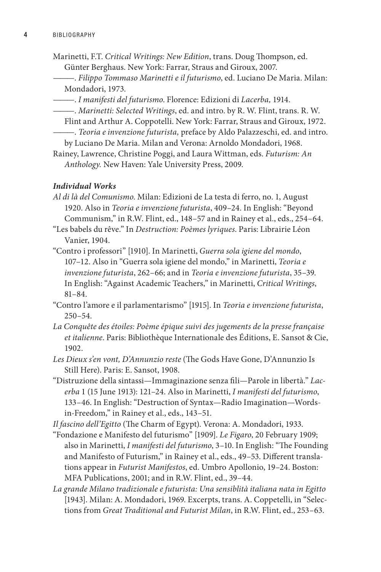- Marinetti, F.T. *Critical Writings: New Edition*, trans. Doug Thompson, ed. Günter Berghaus. New York: Farrar, Straus and Giroux, 2007.
- ———. *Filippo Tommaso Marinetti e il futurismo*, ed. Luciano De Maria. Milan: Mondadori, 1973.
- ———. *I manifesti del futurismo*. Florence: Edizioni di *Lacerba,* 1914.
	- ———. *Marinetti: Selected Writings*, ed. and intro. by R. W. Flint, trans. R. W.
- Flint and Arthur A. Coppotelli. New York: Farrar, Straus and Giroux, 1972. ———. *Teoria e invenzione futurista,* preface by Aldo Palazzeschi, ed. and intro.
- by Luciano De Maria. Milan and Verona: Arnoldo Mondadori, 1968.
- Rainey, Lawrence, Christine Poggi, and Laura Wittman, eds. *Futurism: An Anthology.* New Haven: Yale University Press, 2009.

#### *Individual Works*

*Al di là del Comunismo*. Milan: Edizioni de La testa di ferro, no. 1, August 1920. Also in *Teoria e invenzione futurista*, 409–24. In English: "Beyond Communism," in R.W. Flint, ed., 148–57 and in Rainey et al., eds., 254–64.

"Les babels du rêve." In *Destruction: Poèmes lyriques*. Paris: Librairie Léon Vanier, 1904.

"Contro i professori" [1910]. In Marinetti, *Guerra sola igiene del mondo*, 107–12. Also in "Guerra sola igiene del mondo," in Marinetti, *Teoria e invenzione futurista*, 262–66; and in *Teoria e invenzione futurista*, 35–39. In English: "Against Academic Teachers," in Marinetti, *Critical Writings*, 81–84.

"Contro l'amore e il parlamentarismo" [1915]. In *Teoria e invenzione futurista*, 250–54.

*La Conquête des étoiles: Poème épique suivi des jugements de la presse française et italienne*. Paris: Bibliothèque Internationale des Éditions, E. Sansot & Cie, 1902.

*Les Dieux s'en vont, D'Annunzio reste* (The Gods Have Gone, D'Annunzio Is Still Here). Paris: E. Sansot, 1908.

"Distruzione della sintassi—Immaginazione senza fili—Parole in libertà." *Lacerba* 1 (15 June 1913): 121–24. Also in Marinetti, *I manifesti del futurismo*, 133–46. In English: "Destruction of Syntax—Radio Imagination—Wordsin-Freedom," in Rainey et al., eds., 143–51.

*Il fascino dell'Egitto* (The Charm of Egypt). Verona: A. Mondadori, 1933.

- "Fondazione e Manifesto del futurismo" [1909]. *Le Figaro*, 20 February 1909; also in Marinetti, *I manifesti del futurismo*, 3–10. In English: "The Founding and Manifesto of Futurism," in Rainey et al., eds., 49–53. Different translations appear in *Futurist Manifestos*, ed. Umbro Apollonio, 19–24. Boston: MFA Publications, 2001; and in R.W. Flint, ed., 39–44.
- *La grande Milano tradizionale e futurista: Una sensiblità italiana nata in Egitto*  [1943]. Milan: A. Mondadori, 1969. Excerpts, trans. A. Coppetelli, in "Selections from *Great Traditional and Futurist Milan*, in R.W. Flint, ed., 253–63.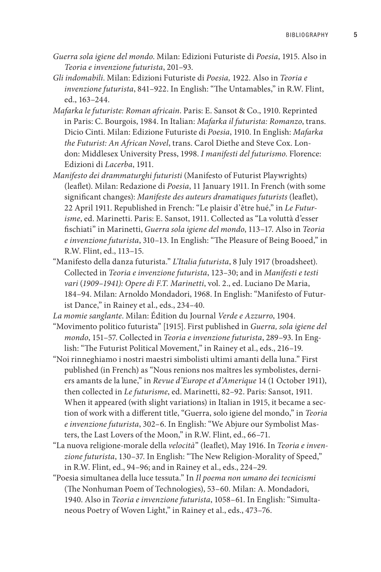- *Guerra sola igiene del mondo*. Milan: Edizioni Futuriste di *Poesia*, 1915. Also in *Teoria e invenzione futurista*, 201–93.
- *Gli indomabili*. Milan: Edizioni Futuriste di *Poesia,* 1922*.* Also in *Teoria e invenzione futurista*, 841–922. In English: "The Untamables," in R.W. Flint, ed., 163–244.
- *Mafarka le futuriste: Roman africain*. Paris: E. Sansot & Co., 1910. Reprinted in Paris: C. Bourgois, 1984. In Italian: *Mafarka il futurista: Romanzo*, trans. Dicio Cinti. Milan: Edizione Futuriste di *Poesia*, 1910. In English: *Mafarka the Futurist: An African Novel*, trans. Carol Diethe and Steve Cox. London: Middlesex University Press, 1998. *I manifesti del futurismo*. Florence: Edizioni di *Lacerba*, 1911.
- *Manifesto dei drammaturghi futuristi* (Manifesto of Futurist Playwrights) (leaflet). Milan: Redazione di *Poesia*, 11 January 1911. In French (with some significant changes): *Manifeste des auteurs dramatiques futurists* (leaflet), 22 April 1911. Republished in French: "Le plaisir d'être hué," in *Le Futurisme*, ed. Marinetti. Paris: E. Sansot, 1911. Collected as "La voluttà d'esser fischiati" in Marinetti, *Guerra sola igiene del mondo*, 113–17. Also in *Teoria e invenzione futurista*, 310–13. In English: "The Pleasure of Being Booed," in R.W. Flint, ed., 113–15.
- "Manifesto della danza futurista." *L'Italia futurista*, 8 July 1917 (broadsheet). Collected in *Teoria e invenzione futurista*, 123*–*30; and in *Manifesti e testi vari* (*1909–1941): Opere di F.T. Marinetti*, vol. 2., ed. Luciano De Maria, 184–94. Milan: Arnoldo Mondadori, 1968. In English: "Manifesto of Futurist Dance," in Rainey et al., eds., 234*–*40.
- *La momie sanglante*. Milan: Édition du Journal *Verde e Azzurro*, 1904.
- "Movimento politico futurista" [1915]. First published in *Guerra, sola igiene del mondo*, 151–57. Collected in *Teoria e invenzione futurista*, 289–93. In English: "The Futurist Political Movement," in Rainey et al., eds., 216-19.
- "Noi rinneghiamo i nostri maestri simbolisti ultimi amanti della luna." First published (in French) as "Nous renions nos maîtres les symbolistes, derniers amants de la lune," in *Revue d'Europe et d'Amerique* 14 (1 October 1911), then collected in *Le futurisme*, ed. Marinetti, 82–92. Paris: Sansot, 1911. When it appeared (with slight variations) in Italian in 1915, it became a section of work with a different title, "Guerra, solo igiene del mondo," in *Teoria e invenzione futurista*, 302*–*6. In English: "We Abjure our Symbolist Masters, the Last Lovers of the Moon," in R.W. Flint, ed., 66–71.
- "La nuova religione-morale della *velocità*" (leaflet), May 1916. In *Teoria e invenzione futurista*, 130–37. In English: "The New Religion-Morality of Speed," in R.W. Flint, ed., 94–96; and in Rainey et al., eds., 224–29.
- "Poesia simultanea della luce tessuta." In *Il poema non umano dei tecnicismi*  (The Nonhuman Poem of Technologies), 53–60. Milan: A. Mondadori, 1940. Also in *Teoria e invenzione futurista*, 1058–61. In English: "Simultaneous Poetry of Woven Light," in Rainey et al., eds., 473–76.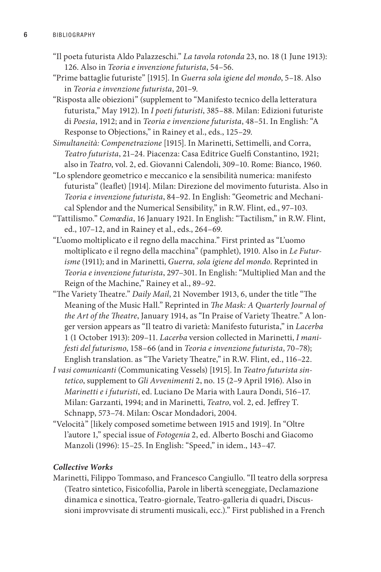- "Il poeta futurista Aldo Palazzeschi." *La tavola rotonda* 23, no. 18 (1 June 1913): 126. Also in *Teoria e invenzione futurista*, 54–56.
- "Prime battaglie futuriste" [1915]. In *Guerra sola igiene del mondo*, 5–18. Also in *Teoria e invenzione futurista*, 201–9.
- "Risposta alle obiezioni" (supplement to "Manifesto tecnico della letteratura futurista," May 1912). In *I poeti futuristi*, 385–88. Milan: Edizioni futuriste di *Poesia*, 1912; and in *Teoria e invenzione futurista*, 48–51. In English: "A Response to Objections," in Rainey et al., eds., 125–29.
- *Simultaneità: Compenetrazione* [1915]. In Marinetti, Settimelli, and Corra, *Teatro futurista*, 21–24. Piacenza: Casa Editrice Guelfi Constantino, 1921; also in *Teatro*, vol. 2, ed. Giovanni Calendoli, 309–10. Rome: Bianco, 1960.
- "Lo splendore geometrico e meccanico e la sensibilità numerica: manifesto futurista" (leaflet) [1914]. Milan: Direzione del movimento futurista. Also in *Teoria e invenzione futurista*, 84–92. In English: "Geometric and Mechanical Splendor and the Numerical Sensibility," in R.W. Flint, ed., 97–103.
- "Tattilismo." *Comœdia*, 16 January 1921. In English: "Tactilism," in R.W. Flint, ed., 107–12, and in Rainey et al., eds., 264–69.
- "L'uomo moltiplicato e il regno della macchina." First printed as "L'uomo moltiplicato e il regno della macchina" (pamphlet), 1910. Also in *Le Futurisme* (1911); and in Marinetti, *Guerra, sola igiene del mondo*. Reprinted in *Teoria e invenzione futurista*, 297–301. In English: "Multiplied Man and the Reign of the Machine," Rainey et al., 89–92.
- "The Variety Theatre." *Daily Mail*, 21 November 1913, 6, under the title "The Meaning of the Music Hall." Reprinted in *The Mask: A Quarterly Journal of the Art of the Theatre*, January 1914, as "In Praise of Variety Theatre." A longer version appears as "Il teatro di varietà: Manifesto futurista," in *Lacerba* 1 (1 October 1913): 209–11. *Lacerba* version collected in Marinetti, *I manifesti del futurismo*, 158–66 (and in *Teoria e invenzione futurista*, 70–78); English translation. as "The Variety Theatre," in R.W. Flint, ed., 116–22.
- *I vasi comunicanti* (Communicating Vessels) [1915]. In *Teatro futurista sintetico*, supplement to *Gli Avvenimenti* 2, no. 15 (2–9 April 1916). Also in *Marinetti e i futuristi*, ed. Luciano De Maria with Laura Dondi, 516–17. Milan: Garzanti, 1994; and in Marinetti, *Teatro*, vol. 2, ed. Jeffrey T. Schnapp, 573–74. Milan: Oscar Mondadori, 2004.
- "Velocità" [likely composed sometime between 1915 and 1919]. In "Oltre l'autore 1," special issue of *Fotogenia* 2, ed. Alberto Boschi and Giacomo Manzoli (1996): 15–25. In English: "Speed," in idem., 143–47.

#### *Collective Works*

Marinetti, Filippo Tommaso, and Francesco Cangiullo. "Il teatro della sorpresa (Teatro sintetico, Fisicofollia, Parole in libertà sceneggiate, Declamazione dinamica e sinottica, Teatro-giornale, Teatro-galleria di quadri, Discussioni improvvisate di strumenti musicali, ecc.)." First published in a French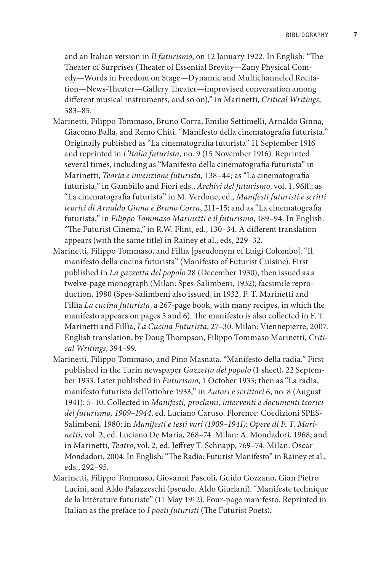and an Italian version in *Il futurismo*, on 12 January 1922. In English: "The Theater of Surprises (Theater of Essential Brevity—Zany Physical Comedy—Words in Freedom on Stage—Dynamic and Multichanneled Recitation—News-Theater—Gallery Theater—improvised conversation among different musical instruments, and so on)," in Marinetti, *Critical Writings*, 383–85.

- Marinetti, Filippo Tommaso, Bruno Corra, Emilio Settimelli, Arnaldo Ginna, Giacomo Balla, and Remo Chiti. "Manifesto della cinematografia futurista." Originally published as "La cinematografia futurista" 11 September 1916 and reprinted in *L'Italia futurista,* no. 9 (15 November 1916). Reprinted several times, including as "Manifesto della cinematografia futurista" in Marinetti, *Teoria e invenzione futurista,* 138–44; as "La cinematografia futurista," in Gambillo and Fiori eds., *Archivi del futurismo*, vol. 1, 96ff.; as "La cinematografia futurista" in M. Verdone, ed., *Manifesti futuristi e scritti teorici di Arnaldo Ginna e Bruno Corra*, 211–15; and as "La cinematografia futurista," in *Filippo Tommaso Marinetti e il futurismo*, 189–94. In English: "The Futurist Cinema," in R.W. Flint, ed., 130–34. A different translation appears (with the same title) in Rainey et al., eds, 229–32.
- Marinetti, Filippo Tommaso, and Fillìa [pseudonym of Luigi Colombo]. "Il manifesto della cucina futurista" (Manifesto of Futurist Cuisine). First published in *La gazzetta del popolo* 28 (December 1930), then issued as a twelve-page monograph (Milan: Spes-Salimbeni, 1932); facsimile reproduction, 1980 (Spes-Salimbeni also issued, in 1932, F. T. Marinetti and Fillìa *La cucina futurista*, a 267-page book, with many recipes, in which the manifesto appears on pages 5 and 6). The manifesto is also collected in F. T. Marinetti and Fillìa, *La Cucina Futurista*, 27–30. Milan: Viennepierre, 2007. English translation, by Doug Thompson, Filippo Tommaso Marinetti, *Critical Writings*, 394–99.
- Marinetti, Filippo Tommaso, and Pino Masnata. "Manifesto della radia." First published in the Turin newspaper *Gazzetta del popolo* (1 sheet), 22 September 1933. Later published in *Futurismo*, 1 October 1933; then as "La radia, manifesto futurista dell'ottobre 1933," in *Autori e scrittori* 6, no. 8 (August 1941): 5–10. Collected in *Manifesti, proclami, interventi e documenti teorici del futurismo, 1909–1944*, ed. Luciano Caruso. Florence: Coedizioni SPES-Salimbeni, 1980; in *Manifesti e testi vari (1909–1941): Opere di F. T. Marinetti*, vol. 2, ed. Luciano De Maria, 268–74. Milan: A. Mondadori, 1968; and in Marinetti, *Teatro*, vol. 2, ed. Jeffrey T. Schnapp, 769–74. Milan: Oscar Mondadori, 2004. In English: "The Radia: Futurist Manifesto" in Rainey et al., eds., 292–95.
- Marinetti, Filippo Tommaso, Giovanni Pascoli, Guido Gozzano, Gian Pietro Lucini, and Aldo Palazzeschi (pseudo. Aldo Giurlani). "Manifeste technique de la littérature futuriste" (11 May 1912). Four-page manifesto. Reprinted in Italian as the preface to *I poeti futuristi* (The Futurist Poets).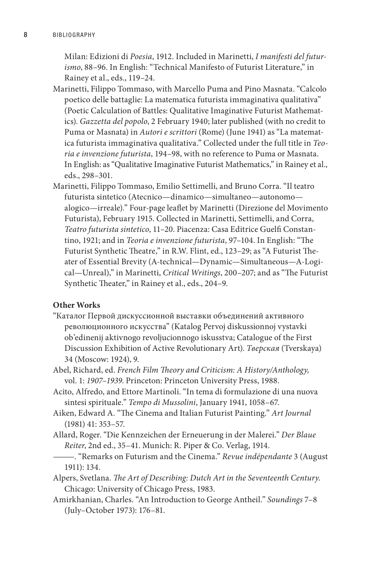Milan: Edizioni di *Poesia*, 1912. Included in Marinetti, *I manifesti del futurismo*, 88–96. In English: "Technical Manifesto of Futurist Literature," in Rainey et al., eds., 119–24.

- Marinetti, Filippo Tommaso, with Marcello Puma and Pino Masnata. "Calcolo poetico delle battaglie: La matematica futurista immaginativa qualitativa" (Poetic Calculation of Battles: Qualitative Imaginative Futurist Mathematics). *Gazzetta del popolo*, 2 February 1940; later published (with no credit to Puma or Masnata) in *Autori e scrittori* (Rome) (June 1941) as "La matematica futurista immaginativa qualitativa." Collected under the full title in *Teoria e invenzione futurista*, 194–98, with no reference to Puma or Masnata. In English: as "Qualitative Imaginative Futurist Mathematics," in Rainey et al., eds., 298–301.
- Marinetti, Filippo Tommaso, Emilio Settimelli, and Bruno Corra. "Il teatro futurista sintetico (Atecnico—dinamico—simultaneo—autonomo alogico—irreale)." Four-page leaflet by Marinetti (Direzione del Movimento Futurista), February 1915. Collected in Marinetti, Settimelli, and Corra, *Teatro futurista sintetico*, 11–20. Piacenza: Casa Editrice Guelfi Constantino, 1921; and in *Teoria e invenzione futurista*, 97–104. In English: "The Futurist Synthetic Theatre," in R.W. Flint, ed., 123-29; as "A Futurist Theater of Essential Brevity (A-technical—Dynamic—Simultaneous—A-Logical—Unreal)," in Marinetti, *Critical Writings*, 200–207; and as "The Futurist Synthetic Theater," in Rainey et al., eds., 204–9.

#### **Other Works**

- "Каталог Первой дискуссионной выставки объединений активного революционного искусства" (Katalog Pervoj diskussionnoj vystavki ob'edinenij aktivnogo revoljucionnogo iskusstva; Catalogue of the First Discussion Exhibition of Active Revolutionary Art). *Тверская* (Tverskaya) 34 (Moscow: 1924), 9.
- Abel, Richard, ed. *French Film Theory and Criticism: A History/Anthology,* vol. 1: *1907–1939*. Princeton: Princeton University Press, 1988.
- Acito, Alfredo, and Ettore Martinoli. "In tema di formulazione di una nuova sintesi spirituale." *Tempo di Mussolini*, January 1941, 1058–67.
- Aiken, Edward A. "The Cinema and Italian Futurist Painting." *Art Journal*  (1981) 41: 353–57.
- Allard, Roger. "Die Kennzeichen der Erneuerung in der Malerei." *Der Blaue Reiter*, 2nd ed., 35–41. Munich: R. Piper & Co. Verlag, 1914.
- ———. "Remarks on Futurism and the Cinema." *Revue indépendante* 3 (August 1911): 134.
- Alpers, Svetlana. *The Art of Describing: Dutch Art in the Seventeenth Century*. Chicago: University of Chicago Press, 1983.
- Amirkhanian, Charles. "An Introduction to George Antheil." *Soundings* 7–8 (July–October 1973): 176–81.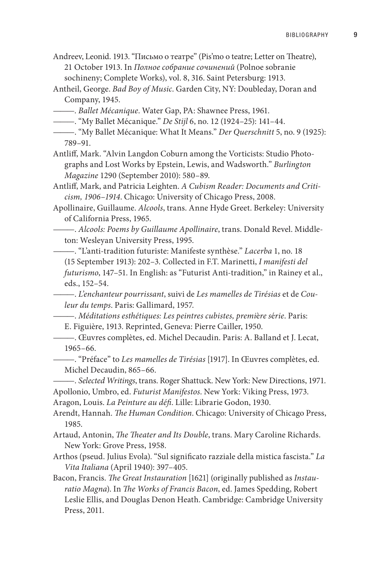Andreev, Leonid. 1913. "Письмо о театре" (Pis'mo o teatre; Letter on Theatre), 21 October 1913. In *Полное собрание сочинений* (Polnoe sobranie sochineny; Complete Works), vol. 8, 316. Saint Petersburg: 1913.

Antheil, George. *Bad Boy of Music*. Garden City, NY: Doubleday, Doran and Company, 1945.

- ———. *Ballet Mécanique*. Water Gap, PA: Shawnee Press, 1961.
- ———. "My Ballet Mécanique." *De Stijl* 6, no. 12 (1924–25): 141–44.
- ———. "My Ballet Mécanique: What It Means." *Der Querschnitt* 5, no. 9 (1925): 789–91.
- Antliff, Mark. "Alvin Langdon Coburn among the Vorticists: Studio Photographs and Lost Works by Epstein, Lewis, and Wadsworth." *Burlington Magazine* 1290 (September 2010): 580–89.

Antliff, Mark, and Patricia Leighten. *A Cubism Reader: Documents and Criticism, 1906*–*1914*. Chicago: University of Chicago Press, 2008.

- Apollinaire, Guillaume. *Alcools*, trans. Anne Hyde Greet. Berkeley: University of California Press, 1965.
- ———. *Alcools: Poems by Guillaume Apollinaire*, trans. Donald Revel. Middleton: Wesleyan University Press, 1995.

———. "L'anti-tradition futuriste: Manifeste synthèse." *Lacerba* 1, no. 18 (15 September 1913): 202–3. Collected in F.T. Marinetti, *I manifesti del futurismo*, 147–51. In English: as "Futurist Anti-tradition," in Rainey et al., eds., 152–54.

———. *L'enchanteur pourrissant*, suivi de *Les mamelles de Tirésias* et de *Couleur du temps*. Paris: Gallimard, 1957.

———. *Méditations esthétiques: Les peintres cubistes, premi*è*re s*é*rie*. Paris:

E. Figuière, 1913. Reprinted, Geneva: Pierre Cailler, 1950.

———. Œuvres complètes, ed. Michel Decaudin. Paris: A. Balland et J. Lecat, 1965–66.

———. "Préface" to *Les mamelles de Tirésias* [1917]. In Œuvres complètes, ed. Michel Decaudin, 865–66.

———. *Selected Writings*, trans. Roger Shattuck. New York: New Directions, 1971. Apollonio, Umbro, ed. *Futurist Manifestos*. New York: Viking Press, 1973.

Aragon, Louis. *La Peinture au défi*. Lille: Librarie Godon, 1930.

Arendt, Hannah. *The Human Condition*. Chicago: University of Chicago Press, 1985.

Artaud, Antonin, *The Theater and Its Double*, trans. Mary Caroline Richards. New York: Grove Press, 1958.

Arthos (pseud. Julius Evola). "Sul significato razziale della mistica fascista." *La Vita Italiana* (April 1940): 397–405.

Bacon, Francis. *The Great Instauration* [1621] (originally published as *Instauratio Magna*). In *The Works of Francis Bacon*, ed. James Spedding, Robert Leslie Ellis, and Douglas Denon Heath. Cambridge: Cambridge University Press, 2011.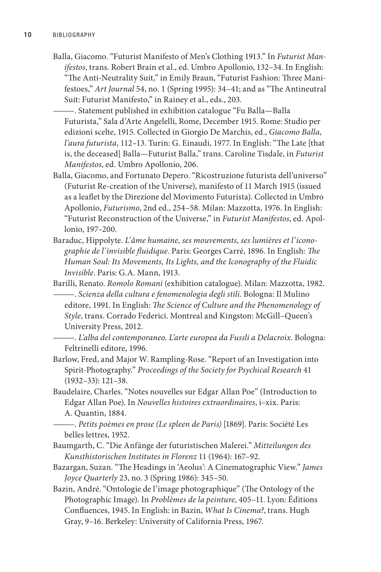- Balla, Giacomo. "Futurist Manifesto of Men's Clothing 1913." In *Futurist Manifestos*, trans. Robert Brain et al., ed. Umbro Apollonio, 132–34. In English: "The Anti-Neutrality Suit," in Emily Braun, "Futurist Fashion: Three Manifestoes," *Art Journal* 54, no. 1 (Spring 1995): 34–41; and as "The Antineutral Suit: Futurist Manifesto," in Rainey et al., eds., 203.
	- ———. Statement published in exhibition catalogue "Fu Balla—Balla Futurista," Sala d'Arte Angelelli, Rome, December 1915. Rome: Studio per edizioni scelte, 1915. Collected in Giorgio De Marchis, ed., *Giacomo Balla, l'aura futurista*, 112–13. Turin: G. Einaudi, 1977. In English: "The Late [that is, the deceased] Balla—Futurist Balla," trans. Caroline Tisdale, in *Futurist Manifestos*, ed. Umbro Apollonio, 206.
- Balla, Giacomo, and Fortunato Depero. "Ricostruzione futurista dell'universo" (Futurist Re-creation of the Universe), manifesto of 11 March 1915 (issued as a leaflet by the Direzione del Movimento Futurista). Collected in Umbro Apollonio, *Futurismo*, 2nd ed., 254–58. Milan: Mazzotta, 1976. In English: "Futurist Reconstruction of the Universe," in *Futurist Manifestos*, ed. Apollonio, 197–200.
- Baraduc, Hippolyte. *L'âme humaine, ses mouvements, ses lumières et l'iconographie de l'invisible fluidique*. Paris: Georges Carré, 1896. In English: *The Human Soul: Its Movements, Its Lights, and the Iconography of the Fluidic Invisible*. Paris: G.A. Mann, 1913.
- Barilli, Renato. *Romolo Romani* (exhibition catalogue). Milan: Mazzotta, 1982. ———. *Scienza della cultura e fenomenologia degli stili*. Bologna: Il Mulino editore, 1991. In English: *The Science of Culture and the Phenomenology of Style*, trans. Corrado Federici. Montreal and Kingston: McGill–Queen's University Press, 2012.
- ———. *L'alba del contemporaneo. L'arte europea da Fussli a Delacroix*. Bologna: Feltrinelli editore, 1996.
- Barlow, Fred, and Major W. Rampling-Rose. "Report of an Investigation into Spirit-Photography." *Proceedings of the Society for Psychical Research* 41 (1932–33): 121–38.
- Baudelaire, Charles. "Notes nouvelles sur Edgar Allan Poe" (Introduction to Edgar Allan Poe). In *Nouvelles histoires extraordinaires*, i–xix. Paris: A. Quantin, 1884.
	- ———. *Petits poèmes en prose (Le spleen de Paris)* [1869]. Paris: Société Les belles lettres, 1952.
- Baumgarth, C. "Die Anfänge der futuristischen Malerei." *Mitteilungen des Kunsthistorischen Institutes in Florenz* 11 (1964): 167–92.
- Bazargan, Suzan. "The Headings in 'Aeolus': A Cinematographic View." *James Joyce Quarterly* 23, no. 3 (Spring 1986): 345–50.
- Bazin, André. "Ontologie de l'image photographique" (The Ontology of the Photographic Image). In *Problèmes de la peinture*, 405–11. Lyon: Éditions Confluences, 1945. In English: in Bazin, *What Is Cinema?*, trans. Hugh Gray, 9–16. Berkeley: University of California Press, 1967.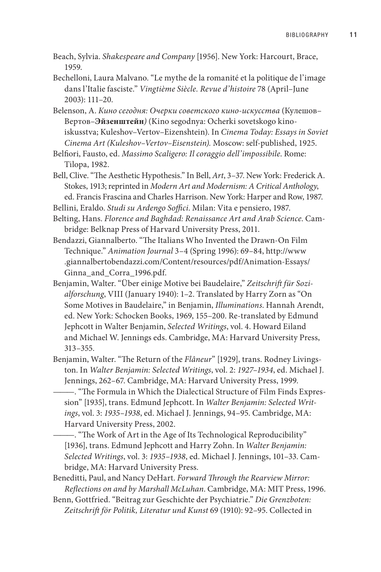- Beach, Sylvia. *Shakespeare and Company* [1956]. New York: Harcourt, Brace, 1959.
- Bechelloni, Laura Malvano. "Le mythe de la romanité et la politique de l'image dans l'Italie fasciste." *Vingtième Siècle. Revue d'histoire* 78 (April–June 2003): 111–20.
- Belenson, A. *Кино сегодня: Очерки советского кино-искусства* (Кулешов– Вертов*–***Эйзенштейн***)* (Kino segodnya: Ocherki sovetskogo kinoiskusstva; Kuleshov–Vertov–Eizenshtein). In *Cinema Today: Essays in Soviet Cinema Art (Kuleshov–Vertov–Eisenstein).* Moscow: self-published, 1925.

Belfiori, Fausto, ed. *Massimo Scaligero: Il coraggio dell'impossibile*. Rome: Tilopa, 1982.

- Bell, Clive. "The Aesthetic Hypothesis." In Bell, *Art*, 3–37. New York: Frederick A. Stokes, 1913; reprinted in *Modern Art and Modernism: A Critical Anthology*, ed. Francis Frascina and Charles Harrison. New York: Harper and Row, 1987.
- Bellini, Eraldo. *Studi su Ardengo Soffici*. Milan: Vita e pensiero, 1987.
- Belting, Hans. *Florence and Baghdad: Renaissance Art and Arab Science*. Cambridge: Belknap Press of Harvard University Press, 2011.
- Bendazzi, Giannalberto. "The Italians Who Invented the Drawn-On Film Technique." *Animation Journal* 3–4 (Spring 1996): 69–84, http://www .giannalbertobendazzi.com/Content/resources/pdf/Animation-Essays/ Ginna\_and\_Corra\_1996.pdf.
- Benjamin, Walter. "Über einige Motive bei Baudelaire," *Zeitschrift für Sozialforschung*, VIII (January 1940): 1–2. Translated by Harry Zorn as "On Some Motives in Baudelaire," in Benjamin, *Illuminations*. Hannah Arendt, ed. New York: Schocken Books, 1969, 155–200. Re-translated by Edmund Jephcott in Walter Benjamin, *Selected Writings*, vol. 4. Howard Eiland and Michael W. Jennings eds. Cambridge, MA: Harvard University Press, 313–355.
- Benjamin, Walter. "The Return of the *Flâneur*" [1929], trans. Rodney Livingston. In *Walter Benjamin: Selected Writings*, vol. 2: *1927–1934*, ed. Michael J. Jennings, 262*–*67. Cambridge, MA: Harvard University Press, 1999.
	- ———. "The Formula in Which the Dialectical Structure of Film Finds Expression" [1935], trans. Edmund Jephcott. In *Walter Benjamin: Selected Writings*, vol. 3: *1935–1938*, ed. Michael J. Jennings, 94–95. Cambridge, MA: Harvard University Press, 2002.
	- ———. "The Work of Art in the Age of Its Technological Reproducibility" [1936], trans. Edmund Jephcott and Harry Zohn. In *Walter Benjamin: Selected Writings*, vol. 3: *1935–1938*, ed. Michael J. Jennings, 101–33. Cambridge, MA: Harvard University Press.
- Beneditti, Paul, and Nancy DeHart. *Forward Through the Rearview Mirror: Reflections on and by Marshall McLuhan*. Cambridge, MA: MIT Press, 1996.
- Benn, Gottfried. "Beitrag zur Geschichte der Psychiatrie." *Die Grenzboten: Zeitschrift för Politik, Literatur und Kunst* 69 (1910): 92–95. Collected in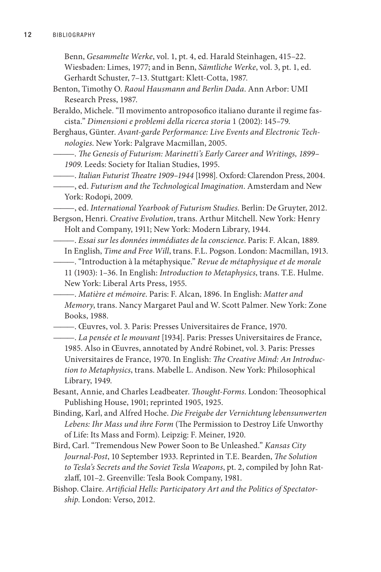Benn, *Gesammelte Werke*, vol. 1, pt. 4, ed. Harald Steinhagen, 415–22. Wiesbaden: Limes, 1977; and in Benn, *Sämtliche Werke*, vol. 3, pt. 1, ed.

Gerhardt Schuster, 7–13. Stuttgart: Klett-Cotta, 1987.

- Benton, Timothy O. *Raoul Hausmann and Berlin Dada*. Ann Arbor: UMI Research Press, 1987.
- Beraldo, Michele. "Il movimento antroposofico italiano durante il regime fascista." *Dimensioni e problemi della ricerca storia* 1 (2002): 145*–*79.
- Berghaus, Günter. *Avant-garde Performance: Live Events and Electronic Technologies*. New York: Palgrave Macmillan, 2005.
- ———. *The Genesis of Futurism: Marinetti's Early Career and Writings, 1899– 1909*. Leeds: Society for Italian Studies, 1995.
	- ———. *Italian Futurist Theatre 1909–1944* [1998]. Oxford: Clarendon Press, 2004.
- ———, ed. *Futurism and the Technological Imagination*. Amsterdam and New York: Rodopi, 2009.

———, ed. *International Yearbook of Futurism Studies*. Berlin: De Gruyter, 2012.

Bergson, Henri. *Creative Evolution*, trans. Arthur Mitchell. New York: Henry Holt and Company, 1911; New York: Modern Library, 1944.

———. *Essai sur les données immédiates de la conscience*. Paris: F. Alcan, 1889. In English, *Time and Free Will*, trans. F.L. Pogson. London: Macmillan, 1913.

———. "Introduction à la métaphysique." *Revue de métaphysique et de morale* 11 (1903): 1–36. In English: *Introduction to Metaphysics*, trans. T.E. Hulme. New York: Liberal Arts Press, 1955.

———. *Matière et mémoire*. Paris: F. Alcan, 1896. In English: *Matter and Memory*, trans. Nancy Margaret Paul and W. Scott Palmer. New York: Zone Books, 1988.

———. Œuvres, vol. 3. Paris: Presses Universitaires de France, 1970.

- ———. *La pensée et le mouvant* [1934]. Paris: Presses Universitaires de France, 1985. Also in Œuvres, annotated by André Robinet, vol. 3. Paris: Presses Universitaires de France, 1970. In English: *The Creative Mind: An Introduction to Metaphysics*, trans. Mabelle L. Andison. New York: Philosophical Library, 1949.
- Besant, Annie, and Charles Leadbeater. *Thought-Forms*. London: Theosophical Publishing House, 1901; reprinted 1905, 1925.
- Binding, Karl, and Alfred Hoche. *Die Freigabe der Vernichtung lebensunwerten Lebens: Ihr Mass und ihre Form* (The Permission to Destroy Life Unworthy of Life: Its Mass and Form). Leipzig: F. Meiner, 1920.
- Bird, Carl. "Tremendous New Power Soon to Be Unleashed." *Kansas City Journal-Post*, 10 September 1933. Reprinted in T.E. Bearden, *The Solution to Tesla's Secrets and the Soviet Tesla Weapons*, pt. 2, compiled by John Ratzlaff, 101–2. Greenville: Tesla Book Company, 1981.
- Bishop. Claire. *Artificial Hells: Participatory Art and the Politics of Spectatorship*. London: Verso, 2012.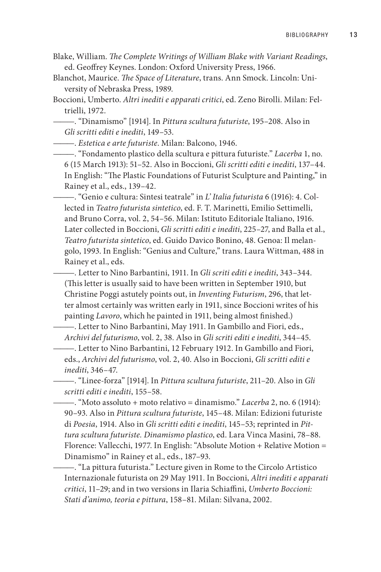- Blake, William. *The Complete Writings of William Blake with Variant Readings*, ed. Geoffrey Keynes. London: Oxford University Press, 1966.
- Blanchot, Maurice. *The Space of Literature*, trans. Ann Smock. Lincoln: University of Nebraska Press, 1989.
- Boccioni, Umberto. *Altri inediti e apparati critici*, ed. Zeno Birolli. Milan: Feltrielli, 1972.

———. "Dinamismo" [1914]. In *Pittura scultura futuriste*, 195–208. Also in *Gli scritti editi e inediti*, 149–53.

———. *Estetica e arte futuriste*. Milan: Balcono, 1946.

———. "Fondamento plastico della scultura e pittura futuriste." *Lacerba* 1, no. 6 (15 March 1913): 51–52. Also in Boccioni, *Gli scritti editi e inediti*, 137–44. In English: "The Plastic Foundations of Futurist Sculpture and Painting," in Rainey et al., eds., 139–42.

———. "Genio e cultura: Sintesi teatrale" in *L' Italia futurista* 6 (1916): 4. Collected in *Teatro futurista sintetico*, ed. F. T. Marinetti, Emilio Settimelli, and Bruno Corra, vol. 2, 54–56. Milan: Istituto Editoriale Italiano, 1916. Later collected in Boccioni, *Gli scritti editi e inediti*, 225–27, and Balla et al., *Teatro futurista sintetico*, ed. Guido Davico Bonino, 48. Genoa: Il melangolo, 1993. In English: "Genius and Culture," trans. Laura Wittman, 488 in Rainey et al., eds.

———. Letter to Nino Barbantini, 1911. In *Gli scriti editi e inediti*, 343–344. (This letter is usually said to have been written in September 1910, but Christine Poggi astutely points out, in *Inventing Futurism*, 296, that letter almost certainly was written early in 1911, since Boccioni writes of his painting *Lavoro*, which he painted in 1911, being almost finished.)

———. Letter to Nino Barbantini, May 1911. In Gambillo and Fiori, eds., *Archivi del futurismo*, vol. 2, 38. Also in *Gli scriti editi e inediti*, 344–45.

———. Letter to Nino Barbantini, 12 February 1912. In Gambillo and Fiori, eds., *Archivi del futurismo*, vol. 2, 40. Also in Boccioni, *Gli scritti editi e inediti*, 346–47.

———. "Linee-forza" [1914]. In *Pittura scultura futuriste*, 211–20. Also in *Gli scritti editi e inediti*, 155–58.

———. "Moto assoluto + moto relativo = dinamismo." *Lacerba* 2, no. 6 (1914): 90–93. Also in *Pittura scultura futuriste*, 145–48. Milan: Edizioni futuriste di *Poesia*, 1914. Also in *Gli scritti editi e inediti*, 145–53; reprinted in *Pittura scultura futuriste. Dinamismo plastico*, ed. Lara Vinca Masini, 78–88. Florence: Vallecchi, 1977. In English: "Absolute Motion + Relative Motion = Dinamismo" in Rainey et al., eds., 187–93.

———. "La pittura futurista." Lecture given in Rome to the Circolo Artistico Internazionale futurista on 29 May 1911. In Boccioni, *Altri inediti e apparati critici*, 11–29; and in two versions in Ilaria Schiaffini, *Umberto Boccioni: Stati d'animo, teoria e pittura*, 158–81. Milan: Silvana, 2002.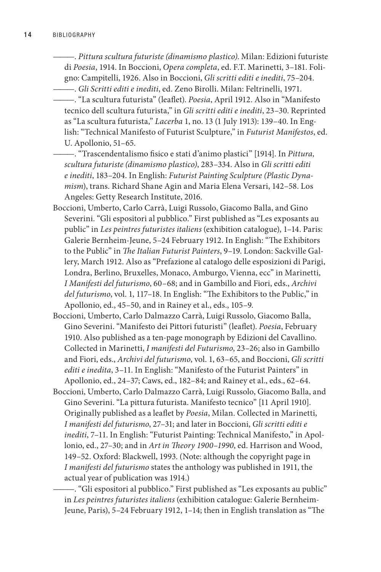———. *Pittura scultura futuriste (dinamismo plastico)*. Milan: Edizioni futuriste di *Poesia*, 1914. In Boccioni, *Opera completa*, ed. F.T. Marinetti, 3–181. Foligno: Campitelli, 1926. Also in Boccioni, *Gli scritti editi e inediti*, 75–204. ———. *Gli Scritti editi e inediti*, ed. Zeno Birolli. Milan: Feltrinelli, 1971.

———. "La scultura futurista" (leaflet). *Poesia*, April 1912. Also in "Manifesto tecnico dell scultura futurista," in *Gli scritti editi e inediti*, 23–30. Reprinted as "La scultura futurista," *Lacerba* 1, no. 13 (1 July 1913): 139–40. In English: "Technical Manifesto of Futurist Sculpture," in *Futurist Manifestos*, ed. U. Apollonio, 51–65.

———. "Trascendentalismo fisico e stati d'animo plastici" [1914]. In *Pittura, scultura futuriste (dinamismo plastico)*, 283–334. Also in *Gli scritti editi e inediti*, 183–204. In English: *Futurist Painting Sculpture (Plastic Dynamism*), trans. Richard Shane Agin and Maria Elena Versari, 142–58. Los Angeles: Getty Research Institute, 2016.

- Boccioni, Umberto, Carlo Carrà, Luigi Russolo, Giacomo Balla, and Gino Severini. "Gli espositori al pubblico." First published as "Les exposants au public" in *Les peintres futuristes italiens* (exhibition catalogue), 1–14. Paris: Galerie Bernheim-Jeune, 5–24 February 1912. In English: "The Exhibitors to the Public" in *The Italian Futurist Painters*, 9–19. London: Sackville Gallery, March 1912. Also as "Prefazione al catalogo delle esposizioni di Parigi, Londra, Berlino, Bruxelles, Monaco, Amburgo, Vienna, ecc" in Marinetti, *I Manifesti del futurismo*, 60–68; and in Gambillo and Fiori, eds., *Archivi del futurismo*, vol. 1, 117–18. In English: "The Exhibitors to the Public," in Apollonio, ed., 45–50, and in Rainey et al., eds., 105–9.
- Boccioni, Umberto, Carlo Dalmazzo Carrà, Luigi Russolo, Giacomo Balla, Gino Severini. "Manifesto dei Pittori futuristi" (leaflet). *Poesia*, February 1910. Also published as a ten-page monograph by Edizioni del Cavallino. Collected in Marinetti, *I manifesti del Futurismo*, 23–26; also in Gambillo and Fiori, eds., *Archivi del futurismo*, vol. 1, 63–65, and Boccioni, *Gli scritti editi e inedita*, 3–11. In English: "Manifesto of the Futurist Painters" in Apollonio, ed., 24–37; Caws, ed., 182–84; and Rainey et al., eds., 62–64.
- Boccioni, Umberto, Carlo Dalmazzo Carrà, Luigi Russolo, Giacomo Balla, and Gino Severini. "La pittura futurista. Manifesto tecnico" [11 April 1910]. Originally published as a leaflet by *Poesia*, Milan. Collected in Marinetti, *I manifesti del futurismo*, 27–31; and later in Boccioni, *Gli scritti editi e inediti*, 7–11. In English: "Futurist Painting: Technical Manifesto," in Apollonio, ed., 27–30; and in *Art in Theory 1900–1990*, ed. Harrison and Wood, 149–52. Oxford: Blackwell, 1993. (Note: although the copyright page in *I manifesti del futurismo* states the anthology was published in 1911, the actual year of publication was 1914.)

———. "Gli espositori al pubblico." First published as "Les exposants au public" in *Les peintres futuristes italiens* (exhibition catalogue: Galerie Bernheim-Jeune, Paris), 5–24 February 1912, 1–14; then in English translation as "The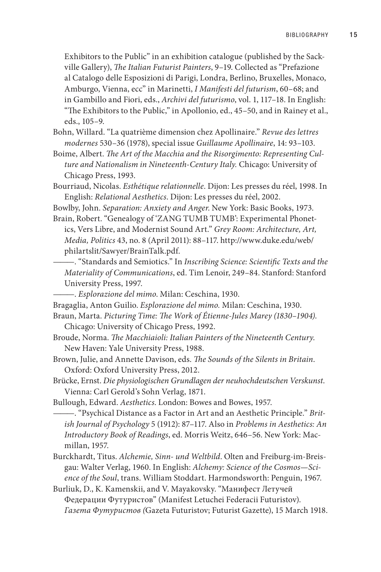Exhibitors to the Public" in an exhibition catalogue (published by the Sackville Gallery), *The Italian Futurist Painters*, 9–19. Collected as "Prefazione al Catalogo delle Esposizioni di Parigi, Londra, Berlino, Bruxelles, Monaco, Amburgo, Vienna, ecc" in Marinetti, *I Manifesti del futurism*, 60–68; and in Gambillo and Fiori, eds., *Archivi del futurismo*, vol. 1, 117–18. In English: "The Exhibitors to the Public," in Apollonio, ed., 45–50, and in Rainey et al., eds., 105–9.

Bohn, Willard. "La quatrième dimension chez Apollinaire." *Revue des lettres modernes* 530–36 (1978), special issue *Guillaume Apollinaire*, 14: 93–103.

Boime, Albert. *The Art of the Macchia and the Risorgimento: Representing Culture and Nationalism in Nineteenth-Century Italy.* Chicago: University of Chicago Press, 1993.

Bourriaud, Nicolas. *Esthétique relationnelle*. Dijon: Les presses du réel, 1998. In English: *Relational Aesthetics*. Dijon: Les presses du réel, 2002.

Bowlby, John. *Separation: Anxiety and Anger*. New York: Basic Books, 1973.

Brain, Robert. "Genealogy of 'ZANG TUMB TUMB': Experimental Phonetics, Vers Libre, and Modernist Sound Art." *Grey Room: Architecture, Art, Media, Politics* 43, no. 8 (April 2011): 88–117. http://www.duke.edu/web/ philartslit/Sawyer/BrainTalk.pdf.

———. "Standards and Semiotics." In *Inscribing Science: Scientific Texts and the Materiality of Communications*, ed. Tim Lenoir, 249–84. Stanford: Stanford University Press, 1997.

———. *Esplorazione del mimo*. Milan: Ceschina, 1930.

Bragaglia, Anton Guilio. *Esplorazione del mimo.* Milan: Ceschina, 1930.

Braun, Marta. *Picturing Time: The Work of Étienne-Jules Marey (1830–1904)*.

- Chicago: University of Chicago Press, 1992.
- Broude, Norma. *The Macchiaioli: Italian Painters of the Nineteenth Century*. New Haven: Yale University Press, 1988.

Brown, Julie, and Annette Davison, eds. *The Sounds of the Silents in Britain*. Oxford: Oxford University Press, 2012.

- Brücke, Ernst. *Die physiologischen Grundlagen der neuhochdeutschen Verskunst*. Vienna: Carl Gerold's Sohn Verlag, 1871.
- Bullough, Edward. *Aesthetics*. London: Bowes and Bowes, 1957.

———. "Psychical Distance as a Factor in Art and an Aesthetic Principle." *British Journal of Psychology* 5 (1912): 87–117. Also in *Problems in Aesthetics: An Introductory Book of Readings*, ed. Morris Weitz, 646–56. New York: Macmillan, 1957.

Burckhardt, Titus. *Alchemie, Sinn- und Weltbild*. Olten and Freiburg-im-Breisgau: Walter Verlag, 1960. In English: *Alchemy: Science of the Cosmos—Science of the Soul*, trans. William Stoddart. Harmondsworth: Penguin, 1967.

Burliuk, D., K. Kamenskii, and V. Mayakovsky. "Манифест Летучей Федерации Футуристов" (Manifest Letuchei Federacii Futuristov). *Газета Футуристов (*Gazeta Futuristov; Futurist Gazette), 15 March 1918.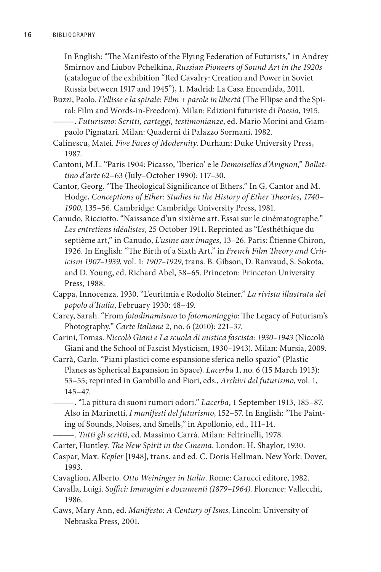In English: "The Manifesto of the Flying Federation of Futurists," in Andrey Smirnov and Liubov Pchelkina, *Russian Pioneers of Sound Art in the 1920s* (catalogue of the exhibition "Red Cavalry: Creation and Power in Soviet Russia between 1917 and 1945"), 1. Madrid: La Casa Encendida, 2011.

- Buzzi, Paolo. *L'ellisse e la spirale*: *Film + parole in libertà* (The Ellipse and the Spiral: Film and Words-in-Freedom). Milan: Edizioni futuriste di *Poesia*, 1915.
- ———. *Futurismo: Scritti, carteggi, testimonianze*, ed. Mario Morini and Giampaolo Pignatari. Milan: Quaderni di Palazzo Sormani, 1982.
- Calinescu, Matei. *Five Faces of Modernity*. Durham: Duke University Press, 1987.
- Cantoni, M.L. "Paris 1904: Picasso, 'Iberico' e le *Demoiselles d'Avignon*," *Bollettino d'arte* 62–63 (July–October 1990): 117–30.
- Cantor, Georg. "The Theological Significance of Ethers." In G. Cantor and M. Hodge, *Conceptions of Ether: Studies in the History of Ether Theories, 1740– 1900*, 135–56. Cambridge: Cambridge University Press, 1981.
- Canudo, Ricciotto. "Naissance d'un sixième art. Essai sur le cinématographe." *Les entretiens idéalistes*, 25 October 1911. Reprinted as "L'esthéthique du septième art," in Canudo, *L'usine aux images*, 13–26. Paris: Étienne Chiron, 1926. In English: "The Birth of a Sixth Art," in *French Film Theory and Criticism 1907–1939*, vol. 1: *1907–1929*, trans. B. Gibson, D. Ranvaud, S. Sokota, and D. Young, ed. Richard Abel, 58–65. Princeton: Princeton University Press, 1988.
- Cappa, Innocenza. 1930. "L'euritmia e Rodolfo Steiner." *La rivista illustrata del popolo d'Italia*, February 1930: 48–49.
- Carey, Sarah. "From *fotodinamismo* to *fotomontaggio*: The Legacy of Futurism's Photography." *Carte Italiane* 2, no. 6 (2010): 221–37.
- Carini, Tomas. *Niccolò Giani e La scuola di mistica fascista: 1930–1943* (Niccolò Giani and the School of Fascist Mysticism, 1930–1943)*.* Milan: Mursia, 2009.
- Carrà, Carlo. "Piani plastici come espansione sferica nello spazio" (Plastic Planes as Spherical Expansion in Space). *Lacerba* 1, no. 6 (15 March 1913): 53–55; reprinted in Gambillo and Fiori, eds., *Archivi del futurismo*, vol. 1, 145–47.
	- ———. "La pittura di suoni rumori odori." *Lacerba*, 1 September 1913, 185–87. Also in Marinetti, *I manifesti del futurismo*, 152–57. In English: "The Painting of Sounds, Noises, and Smells," in Apollonio, ed., 111–14.
	- ———. *Tutti gli scritti*, ed. Massimo Carrà. Milan: Feltrinelli, 1978.
- Carter, Huntley. *The New Spirit in the Cinema*. London: H. Shaylor, 1930.
- Caspar, Max. *Kepler* [1948], trans. and ed. C. Doris Hellman. New York: Dover, 1993.
- Cavaglion, Alberto. *Otto Weininger in Italia*. Rome: Carucci editore, 1982.
- Cavalla, Luigi. *Soffici: Immagini e documenti (1879–1964)*. Florence: Vallecchi, 1986.
- Caws, Mary Ann, ed. *Manifesto: A Century of Isms*. Lincoln: University of Nebraska Press, 2001.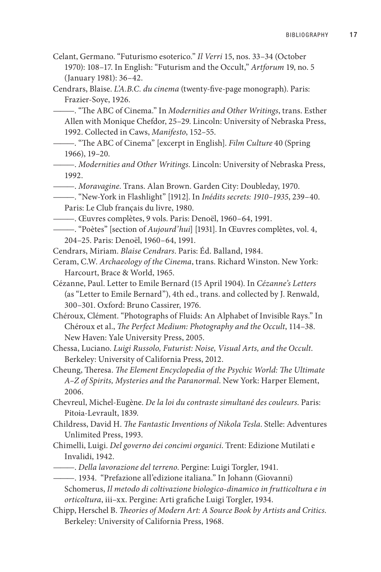- Celant, Germano. "Futurismo esoterico." *Il Verri* 15, nos. 33–34 (October 1970): 108–17. In English: "Futurism and the Occult," *Artforum* 19, no. 5 (January 1981): 36–42.
- Cendrars, Blaise. *L'A.B.C. du cinema* (twenty-five-page monograph). Paris: Frazier-Soye, 1926.

———. "The ABC of Cinema." In *Modernities and Other Writings*, trans. Esther Allen with Monique Chefdor, 25–29. Lincoln: University of Nebraska Press, 1992. Collected in Caws, *Manifesto*, 152*–*55.

- ———. "The ABC of Cinema" [excerpt in English]. *Film Culture* 40 (Spring 1966), 19*–*20.
- ———. *Modernities and Other Writings*. Lincoln: University of Nebraska Press, 1992.
- ———. *Moravagine*. Trans. Alan Brown. Garden City: Doubleday, 1970.

- ———. Œuvres complètes, 9 vols. Paris: Denoël, 1960–64, 1991.
- ———. "Poètes" [section of *Aujourd'hui*] [1931]. In Œuvres complètes, vol. 4, 204–25. Paris: Denoël, 1960–64, 1991.
- Cendrars, Miriam. *Blaise Cendrars*. Paris: Éd. Balland, 1984.
- Ceram, C.W. *Archaeology of the Cinema*, trans. Richard Winston. New York: Harcourt, Brace & World, 1965.
- Cézanne, Paul. Letter to Emile Bernard (15 April 1904). In *Cézanne's Letters* (as "Letter to Emile Bernard"), 4th ed., trans. and collected by J. Renwald, 300–301. Oxford: Bruno Cassirer, 1976.

Chéroux, Clément. "Photographs of Fluids: An Alphabet of Invisible Rays." In Chéroux et al., *The Perfect Medium: Photography and the Occult*, 114–38. New Haven: Yale University Press, 2005.

- Chessa, Luciano. *Luigi Russolo, Futurist: Noise, Visual Arts, and the Occult*. Berkeley: University of California Press, 2012.
- Cheung, Theresa. *The Element Encyclopedia of the Psychic World: The Ultimate A–Z of Spirits, Mysteries and the Paranormal*. New York: Harper Element, 2006.
- Chevreul, Michel-Eugène. *De la loi du contraste simultané des couleurs*. Paris: Pitoia-Levrault, 1839.
- Childress, David H. *The Fantastic Inventions of Nikola Tesla*. Stelle: Adventures Unlimited Press, 1993.
- Chimelli, Luigi. *Del governo dei concimi organici*. Trent: Edizione Mutilati e Invalidi, 1942.
- ———. *Della lavorazione del terreno*. Pergine: Luigi Torgler, 1941.

———. 1934. "Prefazione all'edizione italiana." In Johann (Giovanni)

- Schomerus, *Il metodo di coltivazione biologico-dinamico in frutticoltura e in orticoltura*, iii–xx. Pergine: Arti grafiche Luigi Torgler, 1934.
- Chipp, Herschel B. *Theories of Modern Art: A Source Book by Artists and Critics*. Berkeley: University of California Press, 1968.

<sup>———. &</sup>quot;New-York in Flashlight" [1912]. In *Inédits secrets: 1910–1935*, 239–40. Paris: Le Club français du livre, 1980.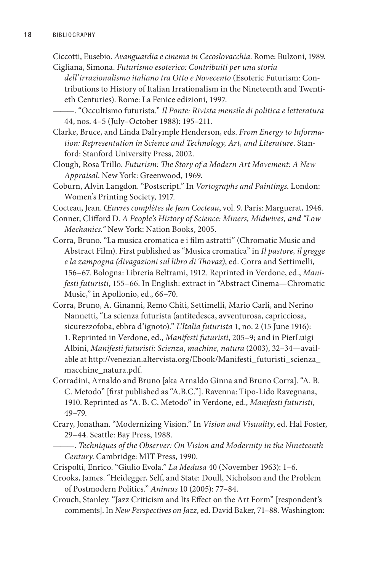Ciccotti, Eusebio. *Avanguardia e cinema in Cecoslovacchia*. Rome: Bulzoni, 1989. Cigliana, Simona. *Futurismo esoterico: Contribuiti per una storia* 

*dell'irrazionalismo italiano tra Otto e Novecento* (Esoteric Futurism: Contributions to History of Italian Irrationalism in the Nineteenth and Twentieth Centuries). Rome: La Fenice edizioni, 1997.

- ———. "Occultismo futurista." *Il Ponte: Rivista mensile di politica e letteratura*  44, nos. 4–5 (July–October 1988): 195–211.
- Clarke, Bruce, and Linda Dalrymple Henderson, eds. *From Energy to Information: Representation in Science and Technology, Art, and Literature*. Stanford: Stanford University Press, 2002.
- Clough, Rosa Trillo. *Futurism: The Story of a Modern Art Movement: A New Appraisal*. New York: Greenwood, 1969.
- Coburn, Alvin Langdon. "Postscript." In *Vortographs and Paintings*. London: Women's Printing Society, 1917.

Cocteau, Jean. *Œuvres complètes de Jean Cocteau*, vol. 9. Paris: Marguerat, 1946.

- Conner, Clifford D. *A People's History of Science: Miners, Midwives, and "Low Mechanics."* New York: Nation Books, 2005.
- Corra, Bruno. "La musica cromatica e i film astratti" (Chromatic Music and Abstract Film). First published as "Musica cromatica" in *Il pastore, il gregge e la zampogna (divagazioni sul libro di Thovaz)*, ed. Corra and Settimelli, 156–67. Bologna: Libreria Beltrami, 1912. Reprinted in Verdone, ed., *Manifesti futuristi*, 155–66. In English: extract in "Abstract Cinema—Chromatic Music," in Apollonio, ed., 66–70.
- Corra, Bruno, A. Ginanni, Remo Chiti, Settimelli, Mario Carli, and Nerino Nannetti, "La scienza futurista (antitedesca, avventurosa, capricciosa, sicurezzofoba, ebbra d'ignoto)." *L'Italia futurista* 1, no. 2 (15 June 1916): 1. Reprinted in Verdone, ed., *Manifesti futuristi*, 205–9; and in PierLuigi Albini, *Manifesti futuristi: Scienza*, *machine, natura* (2003), 32–34—available at http://venezian.altervista.org/Ebook/Manifesti\_futuristi\_scienza\_ macchine\_natura.pdf.
- Corradini, Arnaldo and Bruno [aka Arnaldo Ginna and Bruno Corra]. "A. B. C. Metodo" [first published as "A.B.C."]. Ravenna: Tipo-Lido Ravegnana, 1910. Reprinted as "A. B. C. Metodo" in Verdone, ed., *Manifesti futuristi*, 49–79.
- Crary, Jonathan. "Modernizing Vision." In *Vision and Visuality*, ed. Hal Foster, 29–44. Seattle: Bay Press, 1988.
- ———. *Techniques of the Observer: On Vision and Modernity in the Nineteenth Century*. Cambridge: MIT Press, 1990.
- Crispolti, Enrico. "Giulio Evola." *La Medusa* 40 (November 1963): 1–6.
- Crooks, James. "Heidegger, Self, and State: Doull, Nicholson and the Problem of Postmodern Politics." *Animus* 10 (2005): 77–84.
- Crouch, Stanley. "Jazz Criticism and Its Effect on the Art Form" [respondent's comments]. In *New Perspectives on Jazz*, ed. David Baker, 71–88. Washington: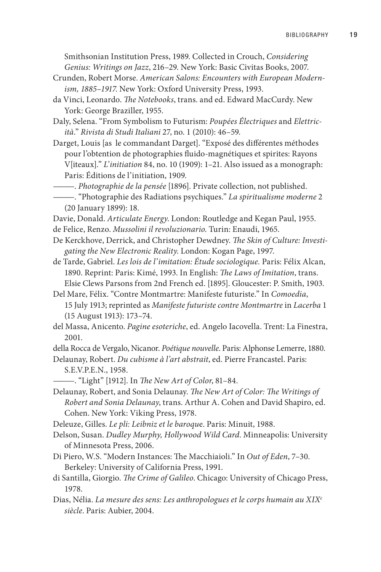Smithsonian Institution Press, 1989. Collected in Crouch, *Considering Genius: Writings on Jazz*, 216–29. New York: Basic Civitas Books, 2007.

- Crunden, Robert Morse. *American Salons: Encounters with European Modernism, 1885–1917*. New York: Oxford University Press, 1993.
- da Vinci, Leonardo. *The Notebooks*, trans. and ed. Edward MacCurdy. New York: George Braziller, 1955.
- Daly, Selena. "From Symbolism to Futurism: *Poupées Électriques* and *Elettricità*." *Rivista di Studi Italiani* 27, no. 1 (2010): 46–59.
- Darget, Louis [as le commandant Darget]. "Exposé des différentes méthodes pour l'obtention de photographies fluido-magnétiques et spirites: Rayons V[iteaux]." *L'initiation* 84, no. 10 (1909): 1–21. Also issued as a monograph: Paris: Éditions de l'initiation, 1909.
- ———. *Photographie de la pensée* [1896]. Private collection, not published.

- Davie, Donald. *Articulate Energy*. London: Routledge and Kegan Paul, 1955.
- de Felice, Renzo. *Mussolini il revoluzionario*. Turin: Enaudi, 1965.
- De Kerckhove, Derrick, and Christopher Dewdney. *The Skin of Culture: Investigating the New Electronic Reality*. London: Kogan Page, 1997.
- de Tarde, Gabriel. *Les lois de l'imitation: Étude sociologique.* Paris: Félix Alcan, 1890. Reprint: Paris: Kimé, 1993. In English: *The Laws of Imitation*, trans. Elsie Clews Parsons from 2nd French ed. [1895]. Gloucester: P. Smith, 1903.
- Del Mare, Félix. "Contre Montmartre: Manifeste futuriste." In *Comoedia*, 15 July 1913; reprinted as *Manifeste futuriste contre Montmartre* in *Lacerba* 1 (15 August 1913): 173–74.
- del Massa, Anicento. *Pagine esoteriche*, ed. Angelo Iacovella. Trent: La Finestra, 2001.

della Rocca de Vergalo, Nicanor. *Poétique nouvelle*. Paris: Alphonse Lemerre, 1880.

Delaunay, Robert. *Du cubisme à l'art abstrait*, ed. Pierre Francastel. Paris: S.E.V.P.E.N., 1958.

- ———. "Light" [1912]. In *The New Art of Color*, 81–84.
- Delaunay, Robert, and Sonia Delaunay. *The New Art of Color: The Writings of Robert and Sonia Delaunay*, trans. Arthur A. Cohen and David Shapiro, ed. Cohen. New York: Viking Press, 1978.
- Deleuze, Gilles. *Le pli: Leibniz et le baroqu*e. Paris: Minuit, 1988.
- Delson, Susan. *Dudley Murphy, Hollywood Wild Card*. Minneapolis: University of Minnesota Press, 2006.
- Di Piero, W.S. "Modern Instances: The Macchiaioli." In *Out of Eden*, 7–30. Berkeley: University of California Press, 1991.
- di Santilla, Giorgio. *The Crime of Galileo*. Chicago: University of Chicago Press, 1978.
- Dias, Nélia. *La mesure des sens: Les anthropologues et le corps humain au XIXe siècle*. Paris: Aubier, 2004.

<sup>———. &</sup>quot;Photographie des Radiations psychiques." *La spiritualisme moderne* 2 (20 January 1899): 18.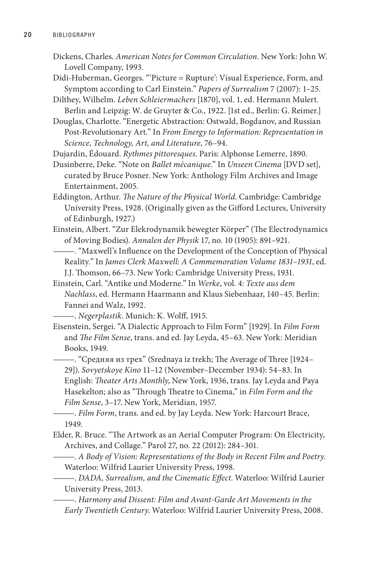- Dickens, Charles. *American Notes for Common Circulation*. New York: John W. Lovell Company, 1993.
- Didi-Huberman, Georges. "'Picture = Rupture': Visual Experience, Form, and Symptom according to Carl Einstein." *Papers of Surrealism* 7 (2007): 1–25.
- Dilthey, Wilhelm. *Leben Schleiermachers* [1870], vol. 1, ed. Hermann Mulert. Berlin and Leipzig: W. de Gruyter & Co., 1922. [1st ed., Berlin: G. Reimer.]

Douglas, Charlotte. "Energetic Abstraction: Ostwald, Bogdanov, and Russian Post-Revolutionary Art." In *From Energy to Information: Representation in Science, Technology, Art, and Literature*, 76–94.

- Dujardin, Édouard. *Rythmes pittoresques*. Paris: Alphonse Lemerre, 1890.
- Dusinberre, Deke. "Note on *Ballet mécanique*." In *Unseen Cinema* [DVD set], curated by Bruce Posner. New York: Anthology Film Archives and Image Entertainment, 2005.
- Eddington, Arthur. *The Nature of the Physical World*. Cambridge: Cambridge University Press, 1928. (Originally given as the Gifford Lectures, University of Edinburgh, 1927.)
- Einstein, Albert. "Zur Elekrodynamik bewegter Körper" (The Electrodynamics of Moving Bodies). *Annalen der Physik* 17, no. 10 (1905): 891–921.
	- ———. "Maxwell's Influence on the Development of the Conception of Physical Reality." In *James Clerk Maxwell: A Commemoration Volume 1831–1931*, ed. J.J. Thomson, 66–73. New York: Cambridge University Press, 1931.
- Einstein, Carl. "Antike und Moderne." In *Werke*, vol. 4: *Texte aus dem Nachlass*, ed. Hermann Haarmann and Klaus Siebenhaar, 140–45. Berlin: Fannei and Walz, 1992.

———. *Negerplastik*. Munich: K. Wolff, 1915.

Eisenstein, Sergei. "A Dialectic Approach to Film Form" [1929]. In *Film Form* and *The Film Sense*, trans. and ed. Jay Leyda, 45–63. New York: Meridian Books, 1949.

———. "Средняя из трех" (Srednaya iz trekh; The Average of Three [1924– 29]). *Sovyetskoye Kino* 11–12 (November–December 1934): 54–83. In English: *Theater Arts Monthly*, New York, 1936, trans. Jay Leyda and Paya Hasekelton; also as "Through Theatre to Cinema," in *Film Form and the Film Sense*, 3–17. New York, Meridian, 1957.

———. *Film Form*, trans. and ed. by Jay Leyda. New York: Harcourt Brace, 1949.

- Elder, R. Bruce. "The Artwork as an Aerial Computer Program: On Electricity, Archives, and Collage." Parol 27, no. 22 (2012): 284–301.
	- ———. *A Body of Vision: Representations of the Body in Recent Film and Poetry*. Waterloo: Wilfrid Laurier University Press, 1998.
- ———. *DADA, Surrealism, and the Cinematic Effect*. Waterloo: Wilfrid Laurier University Press, 2013.
	- ———. *Harmony and Dissent: Film and Avant-Garde Art Movements in the Early Twentieth Century*. Waterloo: Wilfrid Laurier University Press, 2008.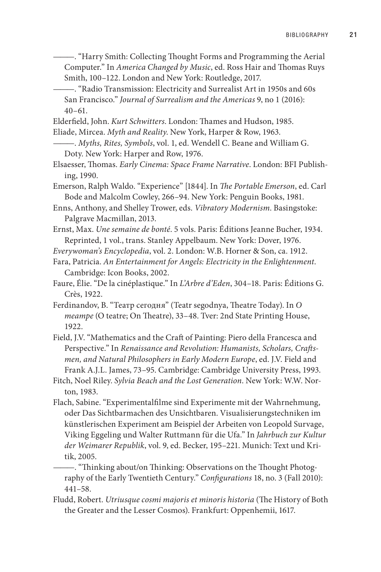- ———. "Harry Smith: Collecting Thought Forms and Programming the Aerial Computer." In *America Changed by Music*, ed. Ross Hair and Thomas Ruys Smith, 100–122. London and New York: Routledge, 2017.
- ———. "Radio Transmission: Electricity and Surrealist Art in 1950s and 60s San Francisco." *Journal of Surrealism and the Americas* 9, no 1 (2016):  $40 - 61$ .
- Elderfield, John. *Kurt Schwitters*. London: Thames and Hudson, 1985.
- Eliade, Mircea. *Myth and Reality*. New York, Harper & Row, 1963.
- ———. *Myths, Rites, Symbols*, vol. 1, ed. Wendell C. Beane and William G. Doty. New York: Harper and Row, 1976.
- Elsaesser, Thomas. *Early Cinema: Space Frame Narrative*. London: BFI Publishing, 1990.
- Emerson, Ralph Waldo. "Experience" [1844]. In *The Portable Emerson*, ed. Carl Bode and Malcolm Cowley, 266–94. New York: Penguin Books, 1981.
- Enns, Anthony, and Shelley Trower, eds. *Vibratory Modernism*. Basingstoke: Palgrave Macmillan, 2013.
- Ernst, Max. *Une semaine de bonté*. 5 vols. Paris: Éditions Jeanne Bucher, 1934. Reprinted, 1 vol., trans. Stanley Appelbaum. New York: Dover, 1976.
- *Everywoman's Encyclopedia*, vol. 2. London: W.B. Horner & Son, ca. 1912.
- Fara, Patricia. *An Entertainment for Angels: Electricity in the Enlightenment*. Cambridge: Icon Books, 2002.
- Faure, Élie. "De la cinéplastique." In *L'Arbre d'Eden*, 304–18. Paris: Éditions G. Crès, 1922.
- Ferdinandov, B. "Театр сегодня" (Teatr segodnya, Theatre Today). In *О театре* (O teatre; On Theatre), 33–48. Tver: 2nd State Printing House, 1922.
- Field, J.V. "Mathematics and the Craft of Painting: Piero della Francesca and Perspective." In *Renaissance and Revolution: Humanists, Scholars, Craftsmen, and Natural Philosophers in Early Modern Europe*, ed. J.V. Field and Frank A.J.L. James, 73–95. Cambridge: Cambridge University Press, 1993.
- Fitch, Noel Riley. *Sylvia Beach and the Lost Generation*. New York: W.W. Norton, 1983.
- Flach, Sabine. "Experimentalfilme sind Experimente mit der Wahrnehmung, oder Das Sichtbarmachen des Unsichtbaren. Visualisierungstechniken im künstlerischen Experiment am Beispiel der Arbeiten von Leopold Survage, Viking Eggeling und Walter Ruttmann für die Ufa." In *Jahrbuch zur Kultur der Weimarer Republik*, vol. 9, ed. Becker, 195–221. Munich: Text und Kritik, 2005.
- ———. "Thinking about/on Thinking: Observations on the Thought Photography of the Early Twentieth Century." *Configurations* 18, no. 3 (Fall 2010): 441–58.
- Fludd, Robert. *Utriusque cosmi majoris et minoris historia* (The History of Both the Greater and the Lesser Cosmos). Frankfurt: Oppenhemii, 1617.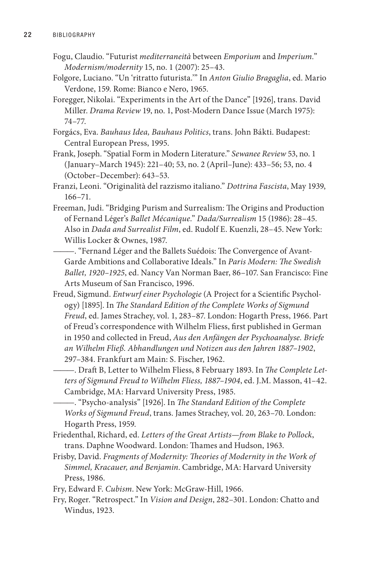- Fogu, Claudio. "Futurist *mediterraneità* between *Emporium* and *Imperium.*" *Modernism/modernity* 15, no. 1 (2007): 25–43.
- Folgore, Luciano. "Un 'ritratto futurista.'" In *Anton Giulio Bragaglia*, ed. Mario Verdone, 159. Rome: Bianco e Nero, 1965.
- Foregger, Nikolai. "Experiments in the Art of the Dance" [1926], trans. David Miller. *Drama Review* 19, no. 1, Post-Modern Dance Issue (March 1975): 74–77.
- Forgács, Eva. *Bauhaus Idea, Bauhaus Politics*, trans. John Bákti. Budapest: Central European Press, 1995.
- Frank, Joseph. "Spatial Form in Modern Literature." *Sewanee Review* 53, no. 1 (January–March 1945): 221–40; 53, no. 2 (April–June): 433–56; 53, no. 4 (October–December): 643–53.
- Franzi, Leoni. "Originalità del razzismo italiano." *Dottrina Fascista*, May 1939, 166–71.
- Freeman, Judi. "Bridging Purism and Surrealism: The Origins and Production of Fernand Léger's *Ballet Mécanique*." *Dada/Surrealism* 15 (1986): 28–45. Also in *Dada and Surrealist Film*, ed. Rudolf E. Kuenzli, 28–45. New York: Willis Locker & Ownes, 1987.
- ———. "Fernand Léger and the Ballets Suédois: The Convergence of Avant-Garde Ambitions and Collaborative Ideals." In *Paris Modern: The Swedish Ballet, 1920–1925*, ed. Nancy Van Norman Baer, 86–107. San Francisco: Fine Arts Museum of San Francisco, 1996.
- Freud, Sigmund. *Entwurf einer Psychologie* (A Project for a Scientific Psychology) [1895]. In *The Standard Edition of the Complete Works of Sigmund Freud*, ed. James Strachey, vol. 1, 283–87. London: Hogarth Press, 1966. Part of Freud's correspondence with Wilhelm Fliess, first published in German in 1950 and collected in Freud, *Aus den Anfängen der Psychoanalyse. Briefe an Wilhelm Fließ. Abhandlungen und Notizen aus den Jahren 1887–1902*, 297–384. Frankfurt am Main: S. Fischer, 1962.
	- ———. Draft B, Letter to Wilhelm Fliess, 8 February 1893. In *The Complete Letters of Sigmund Freud to Wilhelm Fliess, 1887–1904*, ed. J.M. Masson, 41–42. Cambridge, MA: Harvard University Press, 1985.

———. "Psycho-analysis" [1926]. In *The Standard Edition of the Complete Works of Sigmund Freud*, trans. James Strachey, vol. 20, 263–70. London: Hogarth Press, 1959.

- Friedenthal, Richard, ed. *Letters of the Great Artists—from Blake to Pollock*, trans. Daphne Woodward. London: Thames and Hudson, 1963.
- Frisby, David. *Fragments of Modernity: Theories of Modernity in the Work of Simmel, Kracauer, and Benjamin*. Cambridge, MA: Harvard University Press, 1986.
- Fry, Edward F. *Cubism*. New York: McGraw-Hill, 1966.
- Fry, Roger. "Retrospect." In *Vision and Design*, 282–301. London: Chatto and Windus, 1923.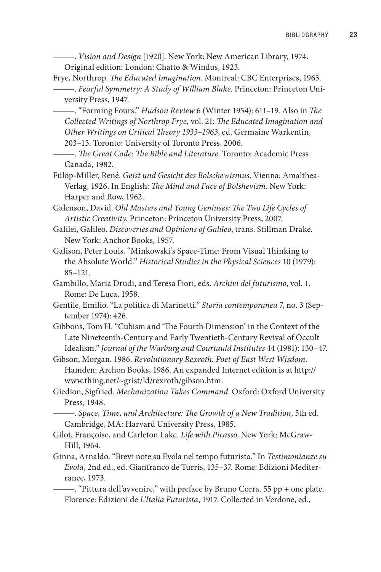———. *Vision and Design* [1920]. New York: New American Library, 1974. Original edition: London: Chatto & Windus, 1923.

Frye, Northrop. *The Educated Imagination*. Montreal: CBC Enterprises, 1963. ———. *Fearful Symmetry: A Study of William Blake*. Princeton: Princeton University Press, 1947.

———. "Forming Fours." *Hudson Review* 6 (Winter 1954): 611–19. Also in *The Collected Writings of Northrop Frye,* vol. 21: *The Educated Imagination and Other Writings on Critical Theory 1933–1963*, ed. Germaine Warkentin, 203–13. Toronto: University of Toronto Press, 2006.

———. *The Great Code: The Bible and Literature*. Toronto: Academic Press Canada, 1982.

Fülöp-Miller, René. *Geist und Gesicht des Bolschewismus*. Vienna: Amalthea-Verlag, 1926. In English: *The Mind and Face of Bolshevism*. New York: Harper and Row, 1962.

Galenson, David. *Old Masters and Young Geniuses: The Two Life Cycles of Artistic Creativity*. Princeton: Princeton University Press, 2007.

- Galilei, Galileo. *Discoveries and Opinions of Galileo*, trans. Stillman Drake. New York: Anchor Books, 1957.
- Galison, Peter Louis. "Minkowski's Space-Time: From Visual Thinking to the Absolute World." *Historical Studies in the Physical Sciences* 10 (1979): 85–121.
- Gambillo, Maria Drudi, and Teresa Fiori, eds. *Archivi del futurismo*, vol. 1. Rome: De Luca, 1958.

Gentile, Emilio. "La politica di Marinetti." *Storia contemporanea* 7, no. 3 (September 1974): 426.

Gibbons, Tom H. "Cubism and 'The Fourth Dimension' in the Context of the Late Nineteenth-Century and Early Twentieth-Century Revival of Occult Idealism." *Journal of the Warburg and Courtauld Institutes* 44 (1981): 130–47.

Gibson, Morgan. 1986. *Revolutionary Rexroth: Poet of East West Wisdom*. Hamden: Archon Books, 1986. An expanded Internet edition is at http:// www.thing.net/~grist/ld/rexroth/gibson.htm.

Giedion, Sigfried. *Mechanization Takes Command*. Oxford: Oxford University Press, 1948.

———. *Space, Time, and Architecture: The Growth of a New Tradition*, 5th ed. Cambridge, MA: Harvard University Press, 1985.

- Gilot, Françoise, and Carleton Lake. *Life with Picasso*. New York: McGraw-Hill, 1964.
- Ginna, Arnaldo. "Brevi note su Evola nel tempo futurista." In *Testimonianze su Evola*, 2nd ed., ed. Gianfranco de Turris, 135–37. Rome: Edizioni Mediterranee, 1973.

———. "Pittura dell'avvenire," with preface by Bruno Corra. 55 pp + one plate. Florence: Edizioni de *L'Italia Futurista*, 1917. Collected in Verdone, ed.,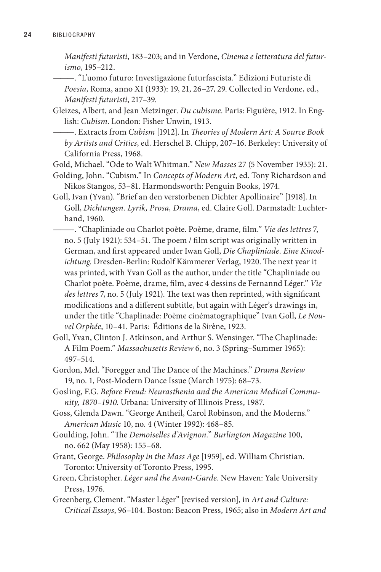*Manifesti futuristi*, 183–203; and in Verdone, *Cinema e letteratura del futurismo*, 195–212.

———. "L'uomo futuro: Investigazione futurfascista." Edizioni Futuriste di *Poesia*, Roma, anno XI (1933): 19, 21, 26–27, 29. Collected in Verdone, ed., *Manifesti futuristi*, 217–39.

Gleizes, Albert, and Jean Metzinger. *Du cubisme*. Paris: Figuière, 1912. In English: *Cubism*. London: Fisher Unwin, 1913.

———. Extracts from *Cubism* [1912]. In *Theories of Modern Art: A Source Book by Artists and Critics*, ed. Herschel B. Chipp, 207–16. Berkeley: University of California Press, 1968.

Gold, Michael. "Ode to Walt Whitman." *New Masses* 27 (5 November 1935): 21.

Golding, John. "Cubism." In *Concepts of Modern Art*, ed. Tony Richardson and Nikos Stangos, 53–81. Harmondsworth: Penguin Books, 1974.

Goll, Ivan (Yvan). "Brief an den verstorbenen Dichter Apollinaire" [1918]. In Goll, *Dichtungen. Lyrik, Prosa, Drama*, ed. Claire Goll. Darmstadt: Luchterhand, 1960.

———. "Chapliniade ou Charlot poète. Poème, drame, film." *Vie des lettres* 7, no. 5 (July 1921): 534–51. The poem / film script was originally written in German, and first appeared under Iwan Goll, *Die Chapliniade. Eine Kinodichtung*. Dresden-Berlin: Rudolf Kämmerer Verlag, 1920. The next year it was printed, with Yvan Goll as the author, under the title "Chapliniade ou Charlot poète. Poème, drame, film, avec 4 dessins de Fernannd Léger." *Vie des lettres* 7, no. 5 (July 1921). The text was then reprinted, with significant modifications and a different subtitle, but again with Léger's drawings in, under the title "Chaplinade: Poème cinématographique" Ivan Goll, *Le Nouvel Orphée*, 10–41. Paris: Éditions de la Sirène, 1923.

- Goll, Yvan, Clinton J. Atkinson, and Arthur S. Wensinger. "The Chaplinade: A Film Poem." *Massachusetts Review* 6, no. 3 (Spring–Summer 1965): 497–514.
- Gordon, Mel. "Foregger and The Dance of the Machines." *Drama Review* 19, no. 1, Post-Modern Dance Issue (March 1975): 68–73.
- Gosling, F.G. *Before Freud: Neurasthenia and the American Medical Community, 1870–1910*. Urbana: University of Illinois Press, 1987.
- Goss, Glenda Dawn. "George Antheil, Carol Robinson, and the Moderns." *American Music* 10, no. 4 (Winter 1992): 468–85.
- Goulding, John. "The *Demoiselles d'Avignon.*" *Burlington Magazine* 100, no. 662 (May 1958): 155–68.
- Grant, George. *Philosophy in the Mass Age* [1959], ed. William Christian. Toronto: University of Toronto Press, 1995.
- Green, Christopher. *Léger and the Avant-Garde*. New Haven: Yale University Press, 1976.
- Greenberg, Clement. "Master Léger" [revised version], in *Art and Culture: Critical Essays*, 96–104. Boston: Beacon Press, 1965; also in *Modern Art and*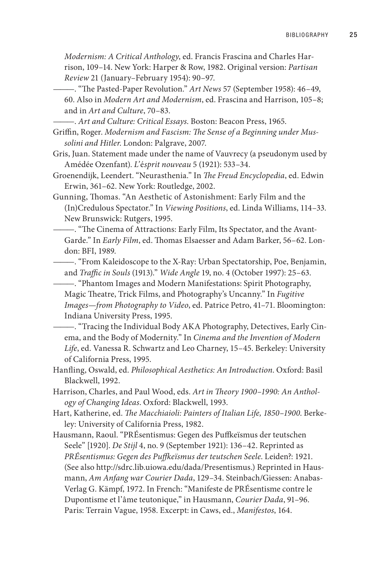*Modernism: A Critical Anthology*, ed. Francis Frascina and Charles Harrison, 109–14. New York: Harper & Row, 1982. Original version: *Partisan Review* 21 (January–February 1954): 90–97.

- ———. "The Pasted-Paper Revolution." *Art News* 57 (September 1958): 46–49, 60. Also in *Modern Art and Modernism*, ed. Frascina and Harrison, 105–8; and in *Art and Culture*, 70–83.
- ———. *Art and Culture: Critical Essays*. Boston: Beacon Press, 1965.
- Griffin, Roger. *Modernism and Fascism: The Sense of a Beginning under Mussolini and Hitler*. London: Palgrave, 2007.
- Gris, Juan. Statement made under the name of Vauvrecy (a pseudonym used by Amédée Ozenfant). *L'*é*sprit nouveau* 5 (1921): 533–34.
- Groenendijk, Leendert. "Neurasthenia." In *The Freud Encyclopedia*, ed. Edwin Erwin, 361–62. New York: Routledge, 2002.
- Gunning, Thomas. "An Aesthetic of Astonishment: Early Film and the (In)Credulous Spectator." In *Viewing Positions*, ed. Linda Williams, 114–33. New Brunswick: Rutgers, 1995.
- ———. "The Cinema of Attractions: Early Film, Its Spectator, and the Avant-Garde." In *Early Film*, ed. Thomas Elsaesser and Adam Barker, 56–62. London: BFI, 1989.
- ———. "From Kaleidoscope to the X-Ray: Urban Spectatorship, Poe, Benjamin, and *Traffic in Souls* (1913)." *Wide Angle* 19, no. 4 (October 1997): 25–63.

———. "Phantom Images and Modern Manifestations: Spirit Photography, Magic Theatre, Trick Films, and Photography's Uncanny." In *Fugitive Images—from Photography to Video*, ed. Patrice Petro, 41–71. Bloomington: Indiana University Press, 1995.

- ———. "Tracing the Individual Body AKA Photography, Detectives, Early Cinema, and the Body of Modernity." In *Cinema and the Invention of Modern Life*, ed. Vanessa R. Schwartz and Leo Charney, 15–45. Berkeley: University of California Press, 1995.
- Hanfling, Oswald, ed. *Philosophical Aesthetics: An Introduction*. Oxford: Basil Blackwell, 1992.
- Harrison, Charles, and Paul Wood, eds. *Art in Theory 1900–1990: An Anthology of Changing Ideas*. Oxford: Blackwell, 1993.
- Hart, Katherine, ed. *The Macchiaioli: Painters of Italian Life, 1850–1900*. Berkeley: University of California Press, 1982.
- Hausmann, Raoul. "PRÉsentismus: Gegen des Puffkeïsmus der teutschen Seele" [1920]. *De Stijl* 4, no. 9 (September 1921): 136–42. Reprinted as *PRÉsentismus: Gegen des Puffkeïsmus der teutschen Seele*. Leiden?: 1921. (See also http://sdrc.lib.uiowa.edu/dada/Presentismus.) Reprinted in Hausmann, *Am Anfang war Courier Dada*, 129–34. Steinbach/Giessen: Anabas-Verlag G. Kämpf, 1972. In French: "Manifeste de PRÉsentisme contre le Dupontisme et l'âme teutonique," in Hausmann, *Courier Dada*, 91–96. Paris: Terrain Vague, 1958. Excerpt: in Caws, ed., *Manifestos*, 164.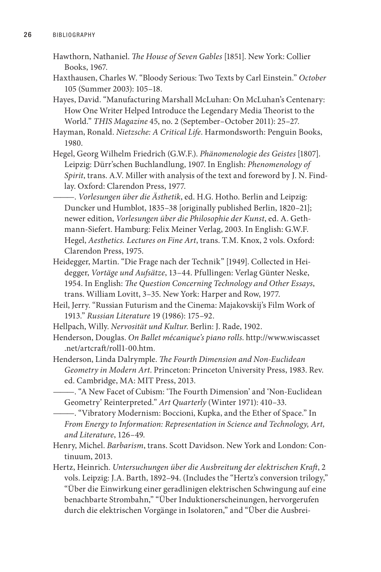- Hawthorn, Nathaniel. *The House of Seven Gables* [1851]. New York: Collier Books, 1967.
- Haxthausen, Charles W. "Bloody Serious: Two Texts by Carl Einstein." *October* 105 (Summer 2003): 105–18.
- Hayes, David. "Manufacturing Marshall McLuhan: On McLuhan's Centenary: How One Writer Helped Introduce the Legendary Media Theorist to the World." *THIS Magazine* 45, no. 2 (September–October 2011): 25–27.
- Hayman, Ronald. *Nietzsche: A Critical Life*. Harmondsworth: Penguin Books, 1980.
- Hegel, Georg Wilhelm Friedrich (G.W.F.). *Phänomenologie des Geistes* [1807]. Leipzig: Dürr'schen Buchlandlung, 1907. In English: *Phenomenology of Spirit*, trans. A.V. Miller with analysis of the text and foreword by J. N. Findlay. Oxford: Clarendon Press, 1977.
	- ———. *Vorlesungen über die Ästhetik*, ed. H.G. Hotho. Berlin and Leipzig: Duncker und Humblot, 1835–38 [originally published Berlin, 1820–21]; newer edition, *Vorlesungen über die Philosophie der Kunst*, ed. A. Gethmann-Siefert. Hamburg: Felix Meiner Verlag, 2003. In English: G.W.F. Hegel, *Aesthetics. Lectures on Fine Art*, trans. T.M. Knox, 2 vols. Oxford: Clarendon Press, 1975.
- Heidegger, Martin. "Die Frage nach der Technik" [1949]. Collected in Heidegger, *Vortäge und Aufsätze*, 13–44. Pfullingen: Verlag Günter Neske, 1954. In English: *The Question Concerning Technology and Other Essays*, trans. William Lovitt, 3–35. New York: Harper and Row, 1977.
- Heil, Jerry. "Russian Futurism and the Cinema: Majakovskij's Film Work of 1913." *Russian Literature* 19 (1986): 175–92.
- Hellpach, Willy. *Nervosität und Kultur*. Berlin: J. Rade, 1902.
- Henderson, Douglas. *On Ballet mécanique's piano rolls*. http://www.wiscasset .net/artcraft/roll1-00.htm.
- Henderson, Linda Dalrymple. *The Fourth Dimension and Non-Euclidean Geometry in Modern Art*. Princeton: Princeton University Press, 1983. Rev. ed. Cambridge, MA: MIT Press, 2013.
- ———. "A New Facet of Cubism: 'The Fourth Dimension' and 'Non-Euclidean Geometry' Reinterpreted." *Art Quarterly* (Winter 1971): 410–33.
- ———. "Vibratory Modernism: Boccioni, Kupka, and the Ether of Space." In *From Energy to Information: Representation in Science and Technology, Art, and Literature*, 126–49.
- Henry, Michel. *Barbarism*, trans. Scott Davidson. New York and London: Continuum, 2013.
- Hertz, Heinrich. *Untersuchungen über die Ausbreitung der elektrischen Kraft*, 2 vols. Leipzig: J.A. Barth, 1892–94. (Includes the "Hertz's conversion trilogy," "Über die Einwirkung einer geradlinigen elektrischen Schwingung auf eine benachbarte Strombahn," "Über Induktionerscheinungen, hervorgerufen durch die elektrischen Vorgänge in Isolatoren," and "Über die Ausbrei-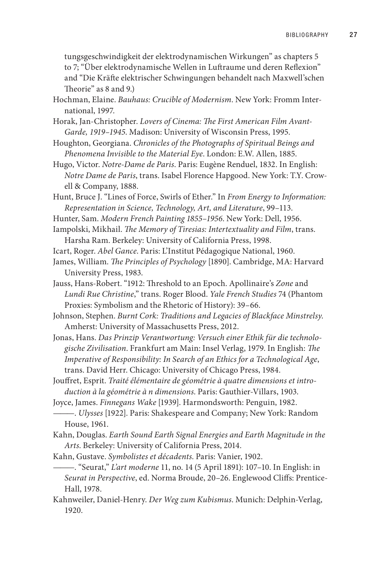tungsgeschwindigkeit der elektrodynamischen Wirkungen" as chapters 5 to 7; "Über elektrodynamische Wellen in Luftraume und deren Reflexion" and "Die Kräfte elektrischer Schwingungen behandelt nach Maxwell'schen Theorie" as 8 and 9.)

- Hochman, Elaine. *Bauhaus: Crucible of Modernism*. New York: Fromm International, 1997.
- Horak, Jan-Christopher. *Lovers of Cinema: The First American Film Avant-Garde, 1919–1945*. Madison: University of Wisconsin Press, 1995.
- Houghton, Georgiana. *Chronicles of the Photographs of Spiritual Beings and Phenomena Invisible to the Material Eye*. London: E.W. Allen, 1885.
- Hugo, Victor. *Notre-Dame de Paris*. Paris: Eugène Renduel, 1832. In English: *Notre Dame de Paris*, trans. Isabel Florence Hapgood. New York: T.Y. Crowell & Company, 1888.
- Hunt, Bruce J. "Lines of Force, Swirls of Ether." In *From Energy to Information: Representation in Science, Technology, Art, and Literature*, 99–113.
- Hunter, Sam. *Modern French Painting 1855–1956*. New York: Dell, 1956.
- Iampolski, Mikhail. *The Memory of Tiresias: Intertextuality and Film*, trans. Harsha Ram. Berkeley: University of California Press, 1998.
- Icart, Roger. *Abel Gance*. Paris: L'Institut Pédagogique National, 1960.
- James, William. *The Principles of Psychology* [1890]. Cambridge, MA: Harvard University Press, 1983.
- Jauss, Hans-Robert. "1912: Threshold to an Epoch. Apollinaire's *Zone* and *Lundi Rue Christine*," trans. Roger Blood. *Yale French Studies* 74 (Phantom Proxies: Symbolism and the Rhetoric of History): 39–66.
- Johnson, Stephen. *Burnt Cork: Traditions and Legacies of Blackface Minstrelsy*. Amherst: University of Massachusetts Press, 2012.
- Jonas, Hans. *Das Prinzip Verantwortung: Versuch einer Ethik für die technologische Zivilisation*. Frankfurt am Main: Insel Verlag, 1979. In English: *The Imperative of Responsibility: In Search of an Ethics for a Technological Age*, trans. David Herr. Chicago: University of Chicago Press, 1984.
- Jouffret, Esprit. *Traité élémentaire de géométrie à quatre dimensions et introduction à la géométrie à n dimensions*. Paris: Gauthier-Villars, 1903.
- Joyce, James. *Finnegans Wake* [1939]. Harmondsworth: Penguin, 1982.
- ———. *Ulysses* [1922]. Paris: Shakespeare and Company; New York: Random House, 1961.
- Kahn, Douglas. *Earth Sound Earth Signal Energies and Earth Magnitude in the Arts*. Berkeley: University of California Press, 2014.
- Kahn, Gustave. *Symbolistes et décadents*. Paris: Vanier, 1902.
	- ———. "Seurat," *L'art moderne* 11, no. 14 (5 April 1891): 107–10. In English: in *Seurat in Perspective*, ed. Norma Broude, 20–26. Englewood Cliffs: Prentice-Hall, 1978.
- Kahnweiler, Daniel-Henry. *Der Weg zum Kubismus*. Munich: Delphin-Verlag, 1920.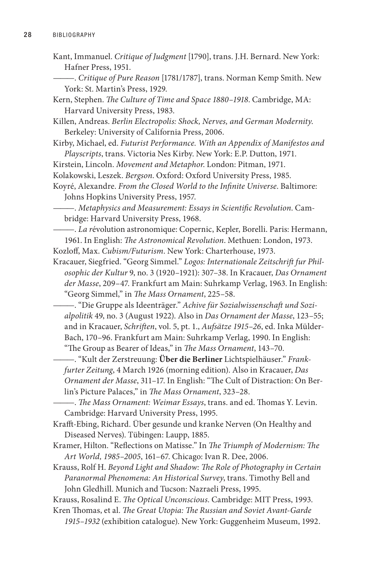- Kant, Immanuel. *Critique of Judgment* [1790], trans. J.H. Bernard. New York: Hafner Press, 1951.
- ———. *Critique of Pure Reason* [1781/1787], trans. Norman Kemp Smith. New York: St. Martin's Press, 1929.

Kern, Stephen. *The Culture of Time and Space 1880–1918*. Cambridge, MA: Harvard University Press, 1983.

Killen, Andreas. *Berlin Electropolis: Shock, Nerves, and German Modernity*. Berkeley: University of California Press, 2006.

Kirby, Michael, ed. *Futurist Performance. With an Appendix of Manifestos and Playscripts*, trans. Victoria Nes Kirby. New York: E.P. Dutton, 1971.

Kirstein, Lincoln. *Movement and Metaphor*. London: Pitman, 1971.

- Kolakowski, Leszek. *Bergson*. Oxford: Oxford University Press, 1985.
- Koyré, Alexandre. *From the Closed World to the Infinite Universe*. Baltimore: Johns Hopkins University Press, 1957.

———. *Metaphysics and Measurement: Essays in Scientific Revolution*. Cambridge: Harvard University Press, 1968.

———. *La r*évolution astronomique: Copernic, Kepler, Borelli. Paris: Hermann, 1961. In English: *The Astronomical Revolution*. Methuen: London, 1973.

Kozloff, Max. *Cubism/Futurism*. New York: Charterhouse, 1973.

- Kracauer, Siegfried. "Georg Simmel." *Logos: Internationale Zeitschrift fur Philosophic der Kultur* 9, no. 3 (1920–1921): 307–38. In Kracauer, *Das Ornament der Masse*, 209–47. Frankfurt am Main: Suhrkamp Verlag, 1963. In English: "Georg Simmel," in *The Mass Ornament*, 225–58.
	- ———. "Die Gruppe als Ideenträger." *Achive für Sozialwissenschaft und Sozialpolitik* 49, no. 3 (August 1922). Also in *Das Ornament der Masse*, 123–55; and in Kracauer, *Schriften*, vol. 5, pt. 1., *Aufsätze 1915–26*, ed. Inka Mülder-Bach, 170–96. Frankfurt am Main: Suhrkamp Verlag, 1990. In English: "The Group as Bearer of Ideas," in *The Mass Ornament*, 143–70.

———. "Kult der Zerstreuung: **Über die Berliner** Lichtspielhäuser." *Frankfurter Zeitung*, 4 March 1926 (morning edition). Also in Kracauer, *Das Ornament der Masse*, 311–17. In English: "The Cult of Distraction: On Berlin's Picture Palaces," in *The Mass Ornament*, 323–28.

———. *The Mass Ornament: Weimar Essays*, trans. and ed. Thomas Y. Levin. Cambridge: Harvard University Press, 1995.

Krafft-Ebing, Richard. Über gesunde und kranke Nerven (On Healthy and Diseased Nerves). Tübingen: Laupp, 1885.

- Kramer, Hilton. "Reflections on Matisse." In *The Triumph of Modernism: The Art World, 1985–2005*, 161–67. Chicago: Ivan R. Dee, 2006.
- Krauss, Rolf H. *Beyond Light and Shadow: The Role of Photography in Certain Paranormal Phenomena: An Historical Survey*, trans. Timothy Bell and John Gledhill. Munich and Tucson: Nazraeli Press, 1995.

Krauss, Rosalind E. *The Optical Unconscious*. Cambridge: MIT Press, 1993.

Kren Thomas, et al. *The Great Utopia: The Russian and Soviet Avant-Garde* 

*1915–1932* (exhibition catalogue). New York: Guggenheim Museum, 1992.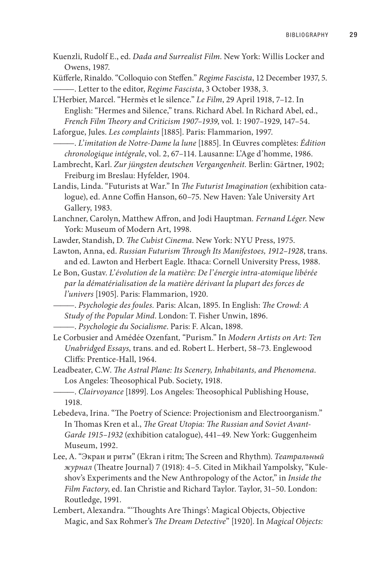Kuenzli, Rudolf E., ed. *Dada and Surrealist Film*. New York: Willis Locker and Owens, 1987.

Küfferle, Rinaldo. "Colloquio con Steffen." *Regime Fascista*, 12 December 1937, 5. ———. Letter to the editor, *Regime Fascista*, 3 October 1938, 3.

L'Herbier, Marcel. "Hermès et le silence." *Le Film*, 29 April 1918, 7–12. In English: "Hermes and Silence," trans. Richard Abel. In Richard Abel, ed., *French Film Theory and Criticism 1907–1939*, vol. 1: 1907–1929, 147–54.

Laforgue, Jules. *Les complaints* [1885]. Paris: Flammarion, 1997.

———. *L'imitation de Notre-Dame la lune* [1885]. In Œuvres complètes: *Édition chronologique intégrale*, vol. 2, 67–114. Lausanne: L'Age d'homme, 1986.

Lambrecht, Karl. *Zur jüngsten deutschen Vergangenheit.* Berlin: Gärtner, 1902; Freiburg im Breslau: Hyfelder, 1904.

Landis, Linda. "Futurists at War." In *The Futurist Imagination* (exhibition catalogue), ed. Anne Coffin Hanson, 60–75. New Haven: Yale University Art Gallery, 1983.

Lanchner, Carolyn, Matthew Affron, and Jodi Hauptman*. Fernand Léger*. New York: Museum of Modern Art, 1998.

Lawder, Standish, D. *The Cubist Cinema*. New York: NYU Press, 1975.

Lawton, Anna, ed. *Russian Futurism Through Its Manifestoes, 1912–1928*, trans. and ed. Lawton and Herbert Eagle. Ithaca: Cornell University Press, 1988.

Le Bon, Gustav. *L'évolution de la matière: De l'énergie intra-atomique libérée par la dématérialisation de la matière dérivant la plupart des forces de l'univers* [1905]. Paris: Flammarion, 1920.

- ———. *Psychologie des foules.* Paris: Alcan, 1895. In English: *The Crowd: A Study of the Popular Mind*. London: T. Fisher Unwin, 1896.
- ———. *Psychologie du Socialisme*. Paris: F. Alcan, 1898.
- Le Corbusier and Amédée Ozenfant*,* "Purism." In *Modern Artists on Art: Ten Unabridged Essays,* trans. and ed. Robert L. Herbert, 58–73. Englewood Cliffs: Prentice-Hall, 1964.

Leadbeater, C.W. *The Astral Plane: Its Scenery, Inhabitants, and Phenomena*. Los Angeles: Theosophical Pub. Society, 1918.

———. *Clairvoyance* [1899]. Los Angeles: Theosophical Publishing House, 1918.

Lebedeva, Irina. "The Poetry of Science: Projectionism and Electroorganism." In Thomas Kren et al., *The Great Utopia: The Russian and Soviet Avant-Garde 1915–1932* (exhibition catalogue), 441–49. New York: Guggenheim Museum, 1992.

Lee, A. "Экран и ритм" (Ekran i ritm; The Screen and Rhythm). *Театральный журнал* (Theatre Journal) 7 (1918): 4–5. Cited in Mikhail Yampolsky, "Kuleshov's Experiments and the New Anthropology of the Actor," in *Inside the Film Factory*, ed. Ian Christie and Richard Taylor. Taylor, 31–50. London: Routledge, 1991.

Lembert, Alexandra. "'Thoughts Are Things': Magical Objects, Objective Magic, and Sax Rohmer's *The Dream Detective*" [1920]. In *Magical Objects:*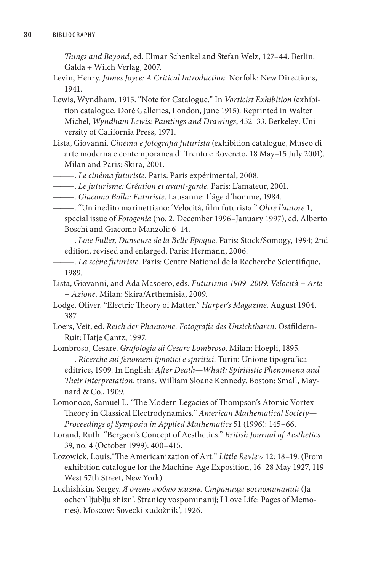*Things and Beyond*, ed. Elmar Schenkel and Stefan Welz, 127–44. Berlin: Galda + Wilch Verlag, 2007.

- Levin, Henry. *James Joyce: A Critical Introduction*. Norfolk: New Directions, 1941.
- Lewis, Wyndham. 1915. "Note for Catalogue." In *Vorticist Exhibition* (exhibition catalogue, Doré Galleries, London, June 1915). Reprinted in Walter Michel, *Wyndham Lewis: Paintings and Drawings*, 432–33. Berkeley: University of California Press, 1971.
- Lista, Giovanni. *Cinema e fotografia futurista* (exhibition catalogue, Museo di arte moderna e contemporanea di Trento e Rovereto, 18 May–15 July 2001). Milan and Paris: Skira, 2001.
- ———. *Le cinéma futuriste*. Paris: Paris expérimental, 2008.
- ———. *Le futurisme: Création et avant-garde*. Paris: L'amateur, 2001.
- ———. *Giacomo Balla: Futuriste*. Lausanne: L'âge d'homme, 1984.
- ———. "Un inedito marinettiano: 'Velocità, film futurista." *Oltre l'autore* 1, special issue of *Fotogenia* (no. 2, December 1996–January 1997), ed. Alberto Boschi and Giacomo Manzoli: 6–14.
- ———. *Loïe Fuller, Danseuse de la Belle Epoque*. Paris: Stock/Somogy, 1994; 2nd edition, revised and enlarged. Paris: Hermann, 2006.
- ———. *La scène futuriste*. Paris: Centre National de la Recherche Scientifique, 1989.
- Lista, Giovanni, and Ada Masoero, eds. *Futurismo 1909–2009: Velocità + Arte + Azione.* Milan: Skira/Arthemisia, 2009.
- Lodge, Oliver. "Electric Theory of Matter." *Harper's Magazine*, August 1904, 387.
- Loers, Veit, ed. *Reich der Phantome. Fotografie des Unsichtbaren*. Ostfildern-Ruit: Hatje Cantz, 1997.

Lombroso, Cesare. *Grafologia di Cesare Lombroso*. Milan: Hoepli, 1895.

- ———. *Ricerche sui fenomeni ipnotici e spiritici*. Turin: Unione tipografica editrice, 1909. In English: *After Death—What?: Spiritistic Phenomena and Their Interpretation*, trans. William Sloane Kennedy. Boston: Small, Maynard & Co., 1909.
- Lomonoco, Samuel L. "The Modern Legacies of Thompson's Atomic Vortex Theory in Classical Electrodynamics." *American Mathematical Society— Proceedings of Symposia in Applied Mathematics* 51 (1996): 145–66.
- Lorand, Ruth. "Bergson's Concept of Aesthetics." *British Journal of Aesthetics* 39, no. 4 (October 1999): 400–415.
- Lozowick, Louis."The Americanization of Art." *Little Review* 12: 18–19. (From exhibition catalogue for the Machine-Age Exposition, 16–28 May 1927, 119 West 57th Street, New York).
- Luchishkin, Sergey. *Я очень люблю жизнь. Страницы воспоминаний* (Ja ochen' ljublju zhizn'. Stranicy vospominanij; I Love Life: Pages of Memories). Moscow: Sovecki xudožnik', 1926.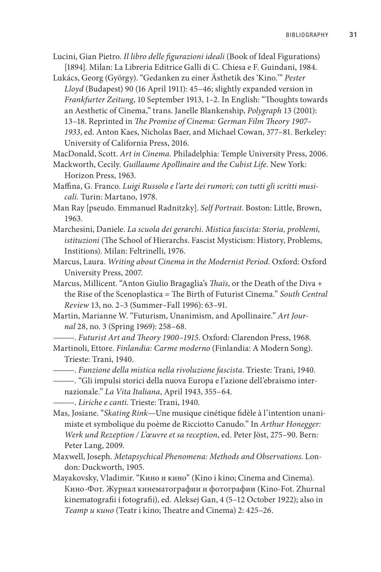- Lucini, Gian Pietro. *Il libro delle figurazioni ideali* (Book of Ideal Figurations) [1894]. Milan: La Libreria Editrice Galli di C. Chiesa e F. Guindani, 1984.
- Lukács, Georg (György). "Gedanken zu einer Ästhetik des 'Kino.'" *Pester Lloyd* (Budapest) 90 (16 April 1911): 45–46; slightly expanded version in *Frankfurter Zeitung*, 10 September 1913, 1–2. In English: "Thoughts towards an Aesthetic of Cinema," trans. Janelle Blankenship, *Polygraph* 13 (2001): 13–18. Reprinted in *The Promise of Cinema: German Film Theory 1907– 1933*, ed. Anton Kaes, Nicholas Baer, and Michael Cowan, 377–81. Berkeley: University of California Press, 2016.

MacDonald, Scott. *Art in Cinema.* Philadelphia: Temple University Press, 2006.

- Mackworth, Cecily. *Guillaume Apollinaire and the Cubist Life*. New York: Horizon Press, 1963.
- Maffina, G. Franco. *Luigi Russolo e l'arte dei rumori; con tutti gli scritti musicali.* Turin: Martano, 1978.

Man Ray [pseudo. Emmanuel Radnitzky]. *Self Portrait*. Boston: Little, Brown, 1963.

- Marchesini, Daniele. *La scuola dei gerarchi. Mistica fascista: Storia, problemi, istituzioni* (The School of Hierarchs. Fascist Mysticism: History, Problems, Institions). Milan: Feltrinelli, 1976.
- Marcus, Laura. *Writing about Cinema in the Modernist Period*. Oxford: Oxford University Press, 2007.
- Marcus, Millicent. "Anton Giulio Bragaglia's *Thaïs*, or the Death of the Diva + the Rise of the Scenoplastica = The Birth of Futurist Cinema." *South Central Review* 13, no. 2–3 (Summer–Fall 1996): 63–91.
- Martin, Marianne W. "Futurism, Unanimism, and Apollinaire." *Art Journal* 28, no. 3 (Spring 1969): 258–68.
- ———. *Futurist Art and Theory 1900–1915*. Oxford: Clarendon Press, 1968.
- Martinoli, Ettore. *Finlandia: Carme moderno* (Finlandia: A Modern Song). Trieste: Trani, 1940.
- ———. *Funzione della mistica nella rivoluzione fascista*. Trieste: Trani, 1940.
- ———. "Gli impulsi storici della nuova Europa e l'azione dell'ebraismo inter
	- nazionale." *La Vita Italiana*, April 1943, 355–64.
	- ———. *Liriche e canti*. Trieste: Trani, 1940.
- Mas, Josiane. "*Skating Rink*—Une musique cinétique fidèle à l'intention unanimiste et symbolique du poème de Ricciotto Canudo." In *Arthur Honegger: Werk und Rezeption / L'œuvre et sa reception*, ed. Peter Jöst, 275–90. Bern: Peter Lang, 2009.
- Maxwell, Joseph. *Metapsychical Phenomena: Methods and Observations*. London: Duckworth, 1905.
- Mayakovsky, Vladimir. "Кино и кино" (Kino i kino; Cinema and Cinema). Кино-Фот. Журнал кинематографии и фотографии (Kino-Fot. Zhurnal kinematografii i fotografii), ed. Aleksej Gan, 4 (5–12 October 1922); also in *Театр и кино* (Teatr i kino; Theatre and Cinema) 2: 425–26.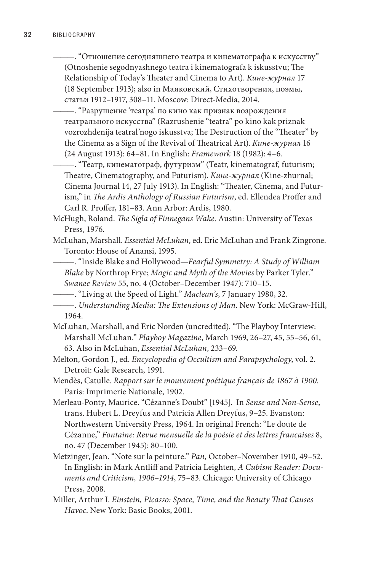- ———. "Отношение сегодняшнего театра и кинематографа к искусству" (Otnoshenie segodnyashnego teatra i kinematografa k iskusstvu; The Relationship of Today's Theater and Cinema to Art). *Кине*-*журнал* 17 (18 September 1913); also in Маяковский, Стихотворения, поэмы, статьи 1912–1917, 308–11. Moscow: Direct-Media, 2014.
	- ———. "Разрушение 'театра' по кино как признак возрождения театрального искусства" (Razrushenie "teatra" po kino kak priznak vozrozhdenija teatral'nogo iskusstva; The Destruction of the "Theater" by the Cinema as a Sign of the Revival of Theatrical Art). *Кине*-*журнал* 16 (24 August 1913): 64–81. In English: *Framework* 18 (1982): 4–6.
	- ———. "Театр, кинематограф, футуризм" (Teatr, kinematograf, futurism; Theatre, Cinematography, and Futurism). *Кине*-*журнал* (Kine-zhurnal; Cinema Journal 14, 27 July 1913). In English: "Theater, Cinema, and Futurism," in *The Ardis Anthology of Russian Futurism*, ed. Ellendea Proffer and Carl R. Proffer, 181–83. Ann Arbor: Ardis, 1980.
- McHugh, Roland. *The Sigla of Finnegans Wake*. Austin: University of Texas Press, 1976.
- McLuhan, Marshall. *Essential McLuhan*, ed. Eric McLuhan and Frank Zingrone. Toronto: House of Anansi, 1995.
- ———. "Inside Blake and Hollywood—*Fearful Symmetry: A Study of William Blake* by Northrop Frye; *Magic and Myth of the Movies* by Parker Tyler." *Swanee Review* 55, no. 4 (October–December 1947): 710–15.
- ———. "Living at the Speed of Light." *Maclean's*, 7 January 1980, 32.
- ———. *Understanding Media: The Extensions of Man*. New York: McGraw-Hill, 1964.
- McLuhan, Marshall, and Eric Norden (uncredited). "The Playboy Interview: Marshall McLuhan." *Playboy Magazine*, March 1969, 26–27, 45, 55–56, 61, 63. Also in McLuhan, *Essential McLuhan*, 233–69.
- Melton, Gordon J., ed. *Encyclopedia of Occultism and Parapsychology*, vol. 2. Detroit: Gale Research, 1991.
- Mendès, Catulle. *Rapport sur le mouvement poétique français de 1867 à 1900*. Paris: Imprimerie Nationale, 1902.
- Merleau-Ponty, Maurice. "Cézanne's Doubt" [1945]. In *Sense and Non-Sense*, trans. Hubert L. Dreyfus and Patricia Allen Dreyfus, 9–25. Evanston: Northwestern University Press, 1964. In original French: "Le doute de Cézanne," *Fontaine: Revue mensuelle de la poésie et des lettres francaises* 8, no. 47 (December 1945): 80–100.
- Metzinger, Jean. "Note sur la peinture." *Pan,* October–November 1910, 49–52. In English: in Mark Antliff and Patricia Leighten, *A Cubism Reader: Documents and Criticism, 1906–1914*, 75–83. Chicago: University of Chicago Press, 2008.
- Miller, Arthur I. *Einstein, Picasso: Space, Time, and the Beauty That Causes Havoc*. New York: Basic Books, 2001.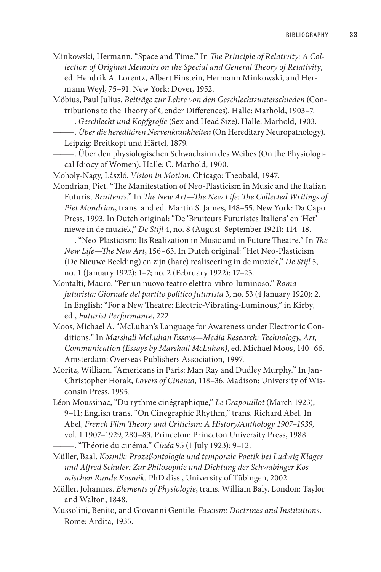- Minkowski, Hermann. "Space and Time." In *The Principle of Relativity: A Collection of Original Memoirs on the Special and General Theory of Relativity*, ed. Hendrik A. Lorentz, Albert Einstein, Hermann Minkowski, and Hermann Weyl, 75–91. New York: Dover, 1952.
- Möbius, Paul Julius. *Beiträge zur Lehre von den Geschlechtsunterschieden* (Contributions to the Theory of Gender Differences). Halle: Marhold, 1903–7.
- ———. *Geschlecht und Kopfgröße* (Sex and Head Size). Halle: Marhold, 1903.
- ———. *Über die hereditären Nervenkrankheiten* (On Hereditary Neuropathology).
	- Leipzig: Breitkopf und Härtel, 1879.
- ———. Über den physiologischen Schwachsinn des Weibes (On the Physiological Idiocy of Women). Halle: C. Marhold, 1900.
- Moholy-Nagy, László. *Vision in Motion*. Chicago: Theobald, 1947.
- Mondrian, Piet. "The Manifestation of Neo-Plasticism in Music and the Italian Futurist *Bruiteurs*." In *The New Art—The New Life: The Collected Writings of Piet Mondrian*, trans. and ed. Martin S. James, 148–55. New York: Da Capo Press, 1993. In Dutch original: "De 'Bruiteurs Futuristes Italiens' en 'Het' niewe in de muziek," *De Stijl* 4, no. 8 (August–September 1921): 114–18.
- ———. "Neo-Plasticism: Its Realization in Music and in Future Theatre." In *The New Life—The New Art*, 156–63. In Dutch original: "Het Neo-Plasticism (De Nieuwe Beelding) en zijn (hare) realiseering in de muziek," *De Stijl* 5, no. 1 (January 1922): 1–7; no. 2 (February 1922): 17–23.
- Montalti, Mauro. "Per un nuovo teatro elettro-vibro-luminoso." *Roma futurista: Giornale del partito politico futurista* 3, no. 53 (4 January 1920): 2. In English: "For a New Theatre: Electric-Vibrating-Luminous," in Kirby, ed., *Futurist Performance*, 222.
- Moos, Michael A. "McLuhan's Language for Awareness under Electronic Conditions." In *Marshall McLuhan Essays—Media Research: Technology, Art, Communication (Essays by Marshall McLuhan)*, ed. Michael Moos, 140–66. Amsterdam: Overseas Publishers Association, 1997.
- Moritz, William. "Americans in Paris: Man Ray and Dudley Murphy." In Jan-Christopher Horak, *Lovers of Cinema*, 118–36. Madison: University of Wisconsin Press, 1995.
- Léon Moussinac, "Du rythme cinégraphique," *Le Crapouillot* (March 1923), 9–11; English trans. "On Cinegraphic Rhythm," trans. Richard Abel. In Abel, *French Film Theory and Criticism: A History/Anthology 1907–1939*, vol. 1 1907–1929, 280–83. Princeton: Princeton University Press, 1988.
	- ———. "Théorie du cinéma." *Cinéa* 95 (1 July 1923): 9–12.
- Müller, Baal. *Kosmik: Prozeßontologie und temporale Poetik bei Ludwig Klages und Alfred Schuler: Zur Philosophie und Dichtung der Schwabinger Kosmischen Runde Kosmik.* PhD diss., University of Tübingen, 2002.
- Müller, Johannes. *Elements of Physiologie*, trans. William Baly. London: Taylor and Walton, 1848.
- Mussolini, Benito, and Giovanni Gentile. *Fascism: Doctrines and Institution*s. Rome: Ardita, 1935.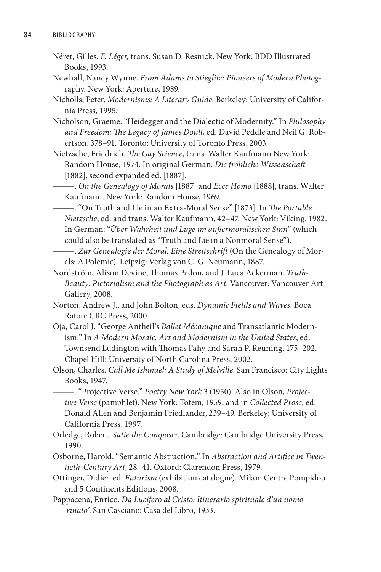- Néret, Gilles. *F. Léger*, trans. Susan D. Resnick. New York: BDD Illustrated Books, 1993.
- Newhall, Nancy Wynne. *From Adams to Stieglitz: Pioneers of Modern Photog*raphy. New York: Aperture, 1989.
- Nicholls, Peter. *Modernisms: A Literary Guide*. Berkeley: University of California Press, 1995.
- Nicholson, Graeme. "Heidegger and the Dialectic of Modernity." In *Philosophy and Freedom: The Legacy of James Doull*, ed. David Peddle and Neil G. Robertson, 378–91. Toronto: University of Toronto Press, 2003.
- Nietzsche, Friedrich. *The Gay Science*, trans. Walter Kaufmann New York: Random House, 1974. In original German: *Die fröhliche Wissenschaft*  [1882], second expanded ed. [1887].

———. *On the Genealogy of Morals* [1887] and *Ecce Homo* [1888], trans. Walter Kaufmann. New York: Random House, 1969.

- ———. "On Truth and Lie in an Extra-Moral Sense" [1873]. In *The Portable Nietzsche*, ed. and trans. Walter Kaufmann, 42–47. New York: Viking, 1982. In German: "*Über Wahrheit und Lüge im außermoralischen Sinn*" (which could also be translated as "Truth and Lie in a Nonmoral Sense").
- ———. *Zur Genealogie der Moral: Eine Streitschrift* (On the Genealogy of Morals: A Polemic). Leipzig: Verlag von C. G. Neumann, 1887.
- Nordström, Alison Devine, Thomas Padon, and J. Luca Ackerman. *Truth-Beauty: Pictorialism and the Photograph as Art*. Vancouver: Vancouver Art Gallery, 2008.
- Norton, Andrew J., and John Bolton, eds. *Dynamic Fields and Waves*. Boca Raton: CRC Press, 2000.
- Oja, Carol J. "George Antheil's *Ballet Mécanique* and Transatlantic Modernism." In *A Modern Mosaic: Art and Modernism in the United States*, ed. Townsend Ludington with Thomas Fahy and Sarah P. Reuning, 175–202. Chapel Hill: University of North Carolina Press, 2002.
- Olson, Charles. *Call Me Ishmael: A Study of Melville*. San Francisco: City Lights Books, 1947.

———. "Projective Verse." *Poetry New York* 3 (1950). Also in Olson, *Projective Verse* (pamphlet). New York: Totem, 1959; and in *Collected Prose*, ed. Donald Allen and Benjamin Friedlander, 239–49. Berkeley: University of California Press, 1997.

- Orledge, Robert. *Satie the Composer*. Cambridge: Cambridge University Press, 1990.
- Osborne, Harold. "Semantic Abstraction." In *Abstraction and Artifice in Twentieth-Century Art*, 28–41. Oxford: Clarendon Press, 1979.
- Ottinger, Didier. ed. *Futurism* (exhibition catalogue). Milan: Centre Pompidou and 5 Continents Editions, 2008.
- Pappacena, Enrico. *Da Lucifero al Cristo: Itinerario spirituale d'un uomo 'rinato'*. San Casciano: Casa del Libro, 1933.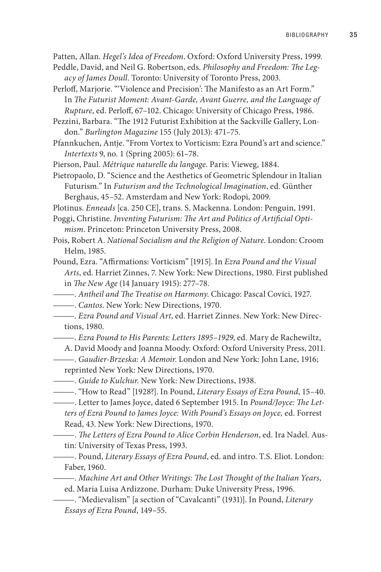Patten, Allan. *Hegel's Idea of Freedom*. Oxford: Oxford University Press, 1999.

- Peddle, David, and Neil G. Robertson, eds. *Philosophy and Freedom: The Legacy of James Doull*. Toronto: University of Toronto Press, 2003.
- Perloff, Marjorie. "'Violence and Precision': The Manifesto as an Art Form." In *The Futurist Moment: Avant-Garde, Avant Guerre, and the Language of Rupture*, ed. Perloff, 67–102. Chicago: University of Chicago Press, 1986.

Pezzini, Barbara. "The 1912 Futurist Exhibition at the Sackville Gallery, London." *Burlington Magazine* 155 (July 2013): 471–75.

Pfannkuchen, Antje. "From Vortex to Vorticism: Ezra Pound's art and science." *Intertexts* 9, no. 1 (Spring 2005): 61–78.

Pierson, Paul. *Métrique naturelle du langage*. Paris: Vieweg, 1884.

Pietropaolo, D. "Science and the Aesthetics of Geometric Splendour in Italian Futurism." In *Futurism and the Technological Imagination*, ed. Günther Berghaus, 45–52. Amsterdam and New York: Rodopi, 2009.

Plotinus. *Enneads* [ca. 250 CE], trans. S. Mackenna. London: Penguin, 1991.

Poggi, Christine. *Inventing Futurism: The Art and Politics of Artificial Optimism*. Princeton: Princeton University Press, 2008.

- Pois, Robert A. *National Socialism and the Religion of Nature*. London: Croom Helm, 1985.
- Pound, Ezra. "Affirmations: Vorticism" [1915]. In *Ezra Pound and the Visual Arts*, ed. Harriet Zinnes, 7. New York: New Directions, 1980. First published in *The New Age* (14 January 1915): 277–78.
- ———. *Antheil and The Treatise on Harmony*. Chicago: Pascal Covici, 1927.

———. *Cantos*. New York: New Directions, 1970.

———. *Ezra Pound and Visual Art*, ed. Harriet Zinnes. New York: New Directions, 1980.

———. *Ezra Pound to His Parents: Letters 1895*–*1929*, ed. Mary de Rachewiltz,

A. David Moody and Joanna Moody. Oxford: Oxford University Press, 2011.

- ———. *Gaudier-Brzeska: A Memoir*. London and New York: John Lane, 1916; reprinted New York: New Directions, 1970.
- ———. *Guide to Kulchur*. New York: New Directions, 1938.
- ———. "How to Read" [1928?]. In Pound, *Literary Essays of Ezra Pound*, 15–40.

———. Letter to James Joyce, dated 6 September 1915. In *Pound/Joyce: The Letters of Ezra Pound to James Joyce: With Pound's Essays on Joyce,* ed. Forrest Read, 43. New York: New Directions, 1970.

———. *The Letters of Ezra Pound to Alice Corbin Henderson*, ed. Ira Nadel. Austin: University of Texas Press, 1993.

———. Pound, *Literary Essays of Ezra Pound*, ed. and intro. T.S. Eliot. London: Faber, 1960.

———. *Machine Art and Other Writings: The Lost Thought of the Italian Years*,

ed. Maria Luisa Ardizzone. Durham: Duke University Press, 1996.

<sup>———. &</sup>quot;Medievalism" [a section of "Cavalcanti" (1931)]. In Pound, *Literary Essays of Ezra Pound*, 149–55.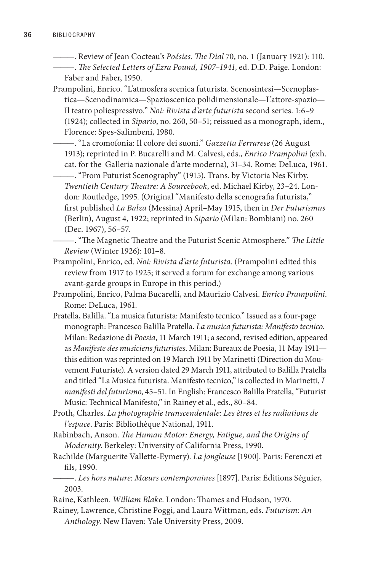———. Review of Jean Cocteau's *Poésies*. *The Dial* 70, no. 1 (January 1921): 110.

———. *The Selected Letters of Ezra Pound, 1907–1941*, ed. D.D. Paige. London: Faber and Faber, 1950.

Prampolini, Enrico. "L'atmosfera scenica futurista. Scenosintesi—Scenoplastica—Scenodinamica—Spazioscenico polidimensionale—L'attore-spazio— Il teatro poliespressivo." *Noi: Rivista d'arte futurista* second series. 1:6**–**9 (1924); collected in *Sipario*, no. 260, 50**–**51; reissued as a monograph, idem., Florence: Spes-Salimbeni, 1980.

———. "La cromofonia: Il colore dei suoni." *Gazzetta Ferrarese* (26 August 1913); reprinted in P. Bucarelli and M. Calvesi, eds., *Enrico Prampolini* (exh. cat. for the Galleria nazionale d'arte moderna), 31–34. Rome: DeLuca, 1961.

———. "From Futurist Scenography" (1915). Trans. by Victoria Nes Kirby. *Twentieth Century Theatre: A Sourcebook*, ed. Michael Kirby, 23**–**24. London: Routledge, 1995. (Original "Manifesto della scenografia futurista," first published *La Balza* (Messina) April**–**May 1915, then in *Der Futurismus*  (Berlin), August 4, 1922; reprinted in *Sipario* (Milan: Bombiani) no. 260 (Dec. 1967), 56**–**57.

- ———. "The Magnetic Theatre and the Futurist Scenic Atmosphere." *The Little Review* (Winter 1926): 101**–**8.
- Prampolini, Enrico, ed. *Noi: Rivista d'arte futurista*. (Prampolini edited this review from 1917 to 1925; it served a forum for exchange among various avant-garde groups in Europe in this period.)
- Prampolini, Enrico, Palma Bucarelli, and Maurizio Calvesi. *Enrico Prampolini*. Rome: DeLuca, 1961.
- Pratella, Balilla. "La musica futurista: Manifesto tecnico." Issued as a four-page monograph: Francesco Balilla Pratella. *La musica futurista: Manifesto tecnico*. Milan: Redazione di *Poesia*, 11 March 1911; a second, revised edition, appeared as *Manifeste des musiciens futuristes*. Milan: Bureaux de Poesia, 11 May 1911 this edition was reprinted on 19 March 1911 by Marinetti (Direction du Mouvement Futuriste). A version dated 29 March 1911, attributed to Balilla Pratella and titled "La Musica futurista. Manifesto tecnico," is collected in Marinetti, *I manifesti del futurismo*, 45–51. In English: Francesco Balilla Pratella, "Futurist Music: Technical Manifesto," in Rainey et al., eds., 80–84.
- Proth, Charles. *La photographie transcendentale: Les êtres et les radiations de l'espace*. Paris: Bibliothèque National, 1911.
- Rabinbach, Anson. *The Human Motor: Energy, Fatigue, and the Origins of Modernity*. Berkeley: University of California Press, 1990.
- Rachilde (Marguerite Vallette-Eymery). *La jongleuse* [1900]. Paris: Ferenczi et fils, 1990.
- ———. *Les hors nature: Mœurs contemporaines* [1897]. Paris: Éditions Séguier, 2003.
- Raine, Kathleen. *William Blake*. London: Thames and Hudson, 1970.
- Rainey, Lawrence, Christine Poggi, and Laura Wittman, eds. *Futurism: An Anthology.* New Haven: Yale University Press, 2009.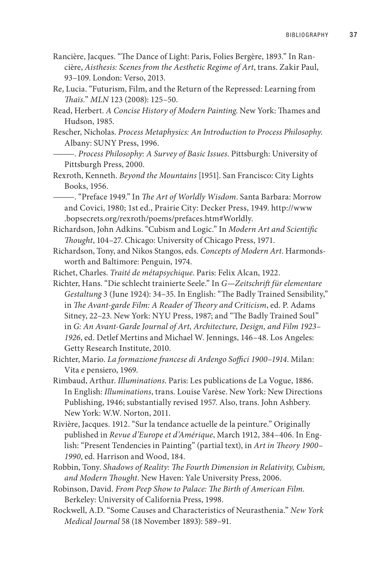- Rancière, Jacques. "The Dance of Light: Paris, Folies Bergère, 1893." In Rancière, *Aisthesis: Scenes from the Aesthetic Regime of Art*, trans. Zakir Paul, 93–109. London: Verso, 2013.
- Re, Lucia. "Futurism, Film, and the Return of the Repressed: Learning from *Thaïs.*" *MLN* 123 (2008): 125–50.
- Read, Herbert. *A Concise History of Modern Painting*. New York: Thames and Hudson, 1985.
- Rescher, Nicholas. *Process Metaphysics: An Introduction to Process Philosophy*. Albany: SUNY Press, 1996.
	- ———. *Process Philosophy: A Survey of Basic Issues*. Pittsburgh: University of Pittsburgh Press, 2000.
- Rexroth, Kenneth. *Beyond the Mountains* [1951]. San Francisco: City Lights Books, 1956.

———. "Preface 1949." In *The Art of Worldly Wisdom*. Santa Barbara: Morrow and Covici, 1980; 1st ed., Prairie City: Decker Press, 1949. http://www .bopsecrets.org/rexroth/poems/prefaces.htm#Worldly.

- Richardson, John Adkins. "Cubism and Logic." In *Modern Art and Scientific Thought*, 104–27. Chicago: University of Chicago Press, 1971.
- Richardson, Tony, and Nikos Stangos, eds. *Concepts of Modern Art*. Harmondsworth and Baltimore: Penguin, 1974.
- Richet, Charles. *Traité de métapsychique*. Paris: Felix Alcan, 1922.
- Richter, Hans. "Die schlecht trainierte Seele." In *G—Zeitschrift für elementare Gestaltung* 3 (June 1924): 34–35. In English: "The Badly Trained Sensibility," in *The Avant-garde Film: A Reader of Theory and Criticism*, ed. P. Adams Sitney, 22–23. New York: NYU Press, 1987; and "The Badly Trained Soul" in *G: An Avant-Garde Journal of Art, Architecture, Design, and Film 1923– 1926*, ed. Detlef Mertins and Michael W. Jennings, 146–48. Los Angeles: Getty Research Institute, 2010.

Richter, Mario. *La formazione francese di Ardengo Soffici 1900–1914*. Milan: Vita e pensiero, 1969.

- Rimbaud, Arthur. *Illuminations*. Paris: Les publications de La Vogue, 1886. In English: *Illuminations*, trans. Louise Varèse. New York: New Directions Publishing, 1946; substantially revised 1957. Also, trans. John Ashbery. New York: W.W. Norton, 2011.
- Rivière, Jacques. 1912. "Sur la tendance actuelle de la peinture." Originally published in *Revue d'Europe et d'Amérique*, March 1912, 384–406. In English: "Present Tendencies in Painting" (partial text), in *Art in Theory 1900– 1990*, ed. Harrison and Wood, 184.
- Robbin, Tony. *Shadows of Reality: The Fourth Dimension in Relativity, Cubism, and Modern Thought*. New Haven: Yale University Press, 2006.
- Robinson, David. *From Peep Show to Palace: The Birth of American Film*. Berkeley: University of California Press, 1998.
- Rockwell, A.D. "Some Causes and Characteristics of Neurasthenia." *New York Medical Journal* 58 (18 November 1893): 589–91.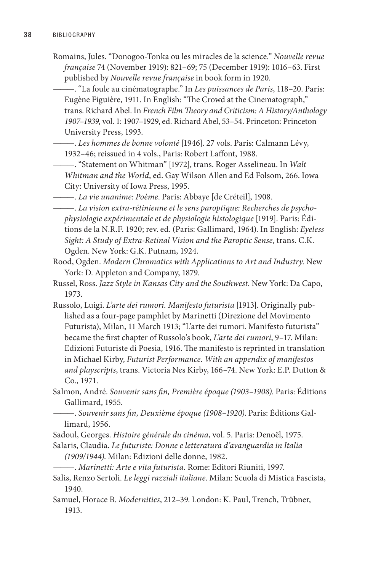- Romains, Jules. "Donogoo-Tonka ou les miracles de la science." *Nouvelle revue française* 74 (November 1919): 821–69; 75 (December 1919): 1016–63. First published by *Nouvelle revue française* in book form in 1920.
	- ———. "La foule au cinématographe." In *Les puissances de Paris*, 118–20. Paris: Eugène Figuière, 1911. In English: "The Crowd at the Cinematograph," trans. Richard Abel. In *French Film Theory and Criticism: A History/Anthology 1907–1939*, vol. 1: 1907–1929, ed. Richard Abel, 53–54. Princeton: Princeton University Press, 1993.
	- ———. *Les hommes de bonne volonté* [1946]. 27 vols. Paris: Calmann Lévy, 1932–46; reissued in 4 vols., Paris: Robert Laffont, 1988.

———. "Statement on Whitman" [1972], trans. Roger Asselineau. In *Walt Whitman and the World*, ed. Gay Wilson Allen and Ed Folsom, 266. Iowa City: University of Iowa Press, 1995.

———. *La vie unanime: Poème*. Paris: Abbaye [de Créteil], 1908.

———. *La vision extra-rétinienne et le sens paroptique: Recherches de psychophysiologie expérimentale et de physiologie histologique* [1919]. Paris: Éditions de la N.R.F. 1920; rev. ed. (Paris: Gallimard, 1964). In English: *Eyeless Sight: A Study of Extra-Retinal Vision and the Paroptic Sense*, trans. C.K. Ogden. New York: G.K. Putnam, 1924.

Rood, Ogden. *Modern Chromatics with Applications to Art and Industry*. New York: D. Appleton and Company, 1879.

- Russel, Ross. *Jazz Style in Kansas City and the Southwest*. New York: Da Capo, 1973.
- Russolo, Luigi. *L'arte dei rumori. Manifesto futurista* [1913]. Originally published as a four-page pamphlet by Marinetti (Direzione del Movimento Futurista), Milan, 11 March 1913; "L'arte dei rumori. Manifesto futurista" became the first chapter of Russolo's book, *L'arte dei rumori*, 9–17. Milan: Edizioni Futuriste di Poesia, 1916. The manifesto is reprinted in translation in Michael Kirby, *Futurist Performance. With an appendix of manifestos and playscripts*, trans. Victoria Nes Kirby, 166–74. New York: E.P. Dutton & Co., 1971.
- Salmon, André. *Souvenir sans fin, Première époque (1903–1908)*. Paris: Éditions Gallimard, 1955.
- ———. *Souvenir sans fin, Deuxième époque (1908–1920)*. Paris: Éditions Gallimard, 1956.
- Sadoul, Georges. *Histoire générale du cinéma*, vol. 5. Paris: Denoël, 1975.
- Salaris, Claudia. *Le futuriste: Donne e letteratura d'avanguardia in Italia (1909/1944)*. Milan: Edizioni delle donne, 1982.

———. *Marinetti: Arte e vita futurista.* Rome: Editori Riuniti, 1997.

- Salis, Renzo Sertoli. *Le leggi razziali italiane*. Milan: Scuola di Mistica Fascista, 1940.
- Samuel, Horace B. *Modernities*, 212–39. London: K. Paul, Trench, Trübner, 1913.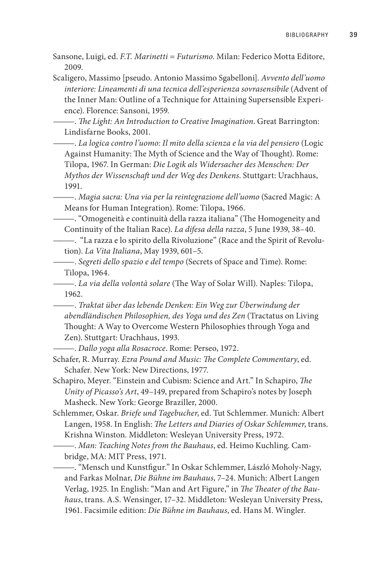Sansone, Luigi, ed. *F.T. Marinetti = Futurismo*. Milan: Federico Motta Editore, 2009.

Scaligero, Massimo [pseudo. Antonio Massimo Sgabelloni]. *Avvento dell'uomo interiore: Lineamenti di una tecnica dell'esperienza sovrasensibile* (Advent of the Inner Man: Outline of a Technique for Attaining Supersensible Experience). Florence: Sansoni, 1959.

———. *The Light: An Introduction to Creative Imagination*. Great Barrington: Lindisfarne Books, 2001.

———. *La logica contro l'uomo: Il mito della scienza e la via del pensiero* (Logic Against Humanity: The Myth of Science and the Way of Thought). Rome: Tilopa, 1967. In German: *Die Logik als Widersacher des Menschen: Der Mythos der Wissenschaft und der Weg des Denkens*. Stuttgart: Urachhaus, 1991.

———. *Magia sacra: Una via per la reintegrazione dell'uomo* (Sacred Magic: A Means for Human Integration). Rome: Tilopa, 1966.

———. "Omogeneità e continuità della razza italiana" (The Homogeneity and Continuity of the Italian Race). *La difesa della razza*, 5 June 1939, 38–40.

———. "La razza e lo spirito della Rivoluzione" (Race and the Spirit of Revolution). *La Vita Italiana*, May 1939, 601–5.

———. *Segreti dello spazio e del tempo* (Secrets of Space and Time). Rome: Tilopa, 1964.

———. *La via della volontà solare* (The Way of Solar Will). Naples: Tilopa, 1962.

———. *Traktat über das lebende Denken: Ein Weg zur Überwindung der abendländischen Philosophien, des Yoga und des Zen* (Tractatus on Living Thought: A Way to Overcome Western Philosophies through Yoga and Zen). Stuttgart: Urachhaus, 1993.

———. *Dallo yoga alla Rosacroce*. Rome: Perseo, 1972.

Schafer, R. Murray. *Ezra Pound and Music: The Complete Commentary*, ed. Schafer. New York: New Directions, 1977.

- Schapiro, Meyer. "Einstein and Cubism: Science and Art." In Schapiro, *The Unity of Picasso's Art*, 49–149, prepared from Schapiro's notes by Joseph Masheck. New York: George Braziller, 2000.
- Schlemmer, Oskar. *Briefe und Tagebucher*, ed. Tut Schlemmer. Munich: Albert Langen, 1958. In English: *The Letters and Diaries of Oskar Schlemmer*, trans. Krishna Winston. Middleton: Wesleyan University Press, 1972.

———. *Man: Teaching Notes from the Bauhaus*, ed. Heimo Kuchling. Cambridge, MA: MIT Press, 1971.

———. "Mensch und Kunstfigur." In Oskar Schlemmer, László Moholy-Nagy, and Farkas Molnar, *Die Bühne im Bauhaus*, 7–24. Munich: Albert Langen Verlag, 1925. In English: "Man and Art Figure," in *The Theater of the Bauhaus*, trans. A.S. Wensinger, 17–32. Middleton: Wesleyan University Press, 1961. Facsimile edition: *Die Bühne im Bauhaus*, ed. Hans M. Wingler.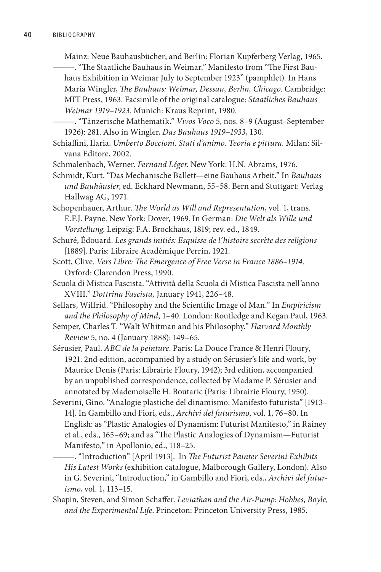Mainz: Neue Bauhausbücher; and Berlin: Florian Kupferberg Verlag, 1965.

———. "The Staatliche Bauhaus in Weimar." Manifesto from "The First Bauhaus Exhibition in Weimar July to September 1923" (pamphlet). In Hans Maria Wingler, *The Bauhaus: Weimar, Dessau, Berlin, Chicago*. Cambridge: MIT Press, 1963. Facsimile of the original catalogue: *Staatliches Bauhaus Weimar 1919–1923*. Munich: Kraus Reprint, 1980.

———. "Tänzerische Mathematik." *Vivos Voco* 5, nos. 8–9 (August–September 1926): 281. Also in Wingler, *Das Bauhaus 1919*–*1933*, 130.

- Schiaffini, Ilaria. *Umberto Boccioni. Stati d'animo. Teoria e pittura.* Milan: Silvana Editore, 2002.
- Schmalenbach, Werner. *Fernand Léger*. New York: H.N. Abrams, 1976.

Schmidt, Kurt. "Das Mechanische Ballett—eine Bauhaus Arbeit." In *Bauhaus und Bauhäusler*, ed. Eckhard Newmann, 55–58. Bern and Stuttgart: Verlag Hallwag AG, 1971.

Schopenhauer, Arthur. *The World as Will and Representation*, vol. 1, trans. E.F.J. Payne. New York: Dover, 1969. In German: *Die Welt als Wille und Vorstellung*. Leipzig: F.A. Brockhaus, 1819; rev. ed., 1849.

Schuré, Édouard. *Les grands initiés: Esquisse de l'histoire secrète des religions*  [1889]. Paris: Libraire Académique Perrin, 1921.

- Scott, Clive. *Vers Libre: The Emergence of Free Verse in France 1886–1914*. Oxford: Clarendon Press, 1990.
- Scuola di Mistica Fascista. "Attività della Scuola di Mistica Fascista nell'anno XVIII." *Dottrina Fascista,* January 1941, 226–48.
- Sellars, Wilfrid. "Philosophy and the Scientific Image of Man." In *Empiricism and the Philosophy of Mind*, 1–40. London: Routledge and Kegan Paul, 1963.

Semper, Charles T. "Walt Whitman and his Philosophy." *Harvard Monthly Review* 5, no. 4 (January 1888): 149–65.

Sérusier, Paul. *ABC de la peinture*. Paris: La Douce France & Henri Floury, 1921. 2nd edition, accompanied by a study on Sérusier's life and work, by Maurice Denis (Paris: Librairie Floury, 1942); 3rd edition, accompanied by an unpublished correspondence, collected by Madame P. Sérusier and annotated by Mademoiselle H. Boutaric (Paris: Librairie Floury, 1950).

Severini, Gino. "Analogie plastiche del dinamismo: Manifesto futurista" [1913– 14]. In Gambillo and Fiori, eds., *Archivi del futurismo*, vol. 1, 76–80. In English: as "Plastic Analogies of Dynamism: Futurist Manifesto," in Rainey et al., eds., 165–69; and as "The Plastic Analogies of Dynamism—Futurist Manifesto," in Apollonio, ed., 118–25.

———. "Introduction" [April 1913]. In *The Futurist Painter Severini Exhibits His Latest Works* (exhibition catalogue, Malborough Gallery, London). Also in G. Severini, "Introduction," in Gambillo and Fiori, eds., *Archivi del futurismo*, vol. 1, 113–15.

Shapin, Steven, and Simon Schaffer. *Leviathan and the Air-Pump: Hobbes, Boyle, and the Experimental Life*. Princeton: Princeton University Press, 1985.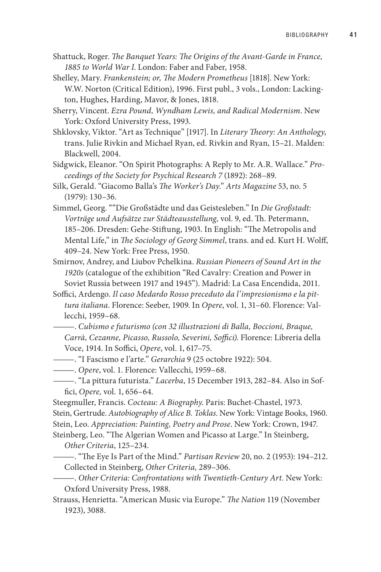- Shattuck, Roger. *The Banquet Years: The Origins of the Avant-Garde in France, 1885 to World War I*. London: Faber and Faber, 1958.
- Shelley, Mary. *Frankenstein; or, The Modern Prometheus* [1818]. New York: W.W. Norton (Critical Edition), 1996. First publ., 3 vols., London: Lackington, Hughes, Harding, Mavor, & Jones, 1818.
- Sherry, Vincent. *Ezra Pound, Wyndham Lewis, and Radical Modernism*. New York: Oxford University Press, 1993.
- Shklovsky, Viktor. "Art as Technique" [1917]. In *Literary Theory: An Anthology*, trans. Julie Rivkin and Michael Ryan, ed. Rivkin and Ryan, 15–21. Malden: Blackwell, 2004.
- Sidgwick, Eleanor. "On Spirit Photographs: A Reply to Mr. A.R. Wallace." *Proceedings of the Society for Psychical Research 7* (1892): 268–89.
- Silk, Gerald. "Giacomo Balla's *The Worker's Day*." *Arts Magazine* 53, no. 5 (1979): 130–36.
- Simmel, Georg. ""Die Großstädte und das Geistesleben." In *Die Großstadt: Vorträge und Aufsätze zur Städteausstellung,* vol. 9, ed. Th. Petermann, 185–206. Dresden: Gehe-Stiftung, 1903. In English: "The Metropolis and Mental Life," in *The Sociology of Georg Simmel*, trans. and ed. Kurt H. Wolff, 409–24. New York: Free Press, 1950.
- Smirnov, Andrey, and Liubov Pchelkina. *Russian Pioneers of Sound Art in the 1920s* (catalogue of the exhibition "Red Cavalry: Creation and Power in Soviet Russia between 1917 and 1945"). Madrid: La Casa Encendida, 2011.
- Soffici, Ardengo. *Il caso Medardo Rosso preceduto da l'impresionismo e la pittura italiana*. Florence: Seeber, 1909. In *Opere*, vol. 1, 31–60. Florence: Vallecchi, 1959–68.
	- ———. *Cubismo e futurismo (con 32 illustrazioni di Balla, Boccioni, Braque, Carrà, Cezanne, Picasso, Russolo, Severini, Soffici)*. Florence: Libreria della Voce, 1914. In Soffici, *Opere*, vol. 1, 617–75.
- ———. "I Fascismo e l'arte." *Gerarchia* 9 (25 octobre 1922): 504.
- ———. *Opere*, vol. 1. Florence: Vallecchi, 1959–68.
- ———. "La pittura futurista." *Lacerba*, 15 December 1913, 282–84. Also in Soffici, *Opere,* vol. 1, 656*–*64*.*
- Steegmuller, Francis. *Cocteau: A Biography*. Paris: Buchet-Chastel, 1973.
- Stein, Gertrude. *Autobiography of Alice B. Toklas*. New York: Vintage Books, 1960.
- Stein, Leo. *Appreciation: Painting, Poetry and Prose*. New York: Crown, 1947.
- Steinberg, Leo. "The Algerian Women and Picasso at Large." In Steinberg, *Other Criteria*, 125–234.
	- ———. "The Eye Is Part of the Mind." *Partisan Review* 20, no. 2 (1953): 194–212. Collected in Steinberg, *Other Criteria,* 289–306.
- ———. *Other Criteria: Confrontations with Twentieth-Century Art.* New York: Oxford University Press, 1988.
- Strauss, Henrietta. "American Music via Europe." *The Nation* 119 (November 1923), 3088.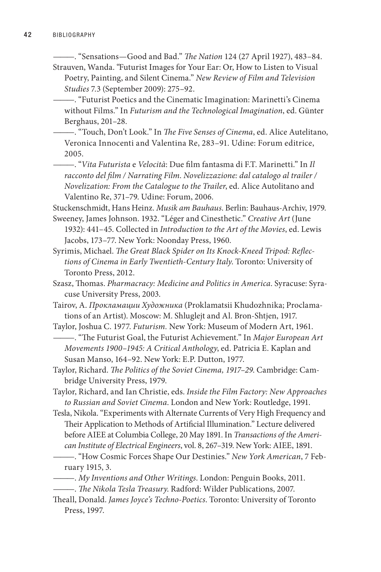- ———. "Sensations—Good and Bad." *The Nation* 124 (27 April 1927), 483–84. Strauven, Wanda. "Futurist Images for Your Ear: Or, How to Listen to Visual
- Poetry, Painting, and Silent Cinema." *New Review of Film and Television Studies* 7.3 (September 2009): 275–92.
- ———. "Futurist Poetics and the Cinematic Imagination: Marinetti's Cinema without Films." In *Futurism and the Technological Imagination*, ed. Günter Berghaus, 201–28.
- ———. "Touch, Don't Look." In *The Five Senses of Cinema*, ed. Alice Autelitano, Veronica Innocenti and Valentina Re, 283–91. Udine: Forum editrice, 2005.
- ———. "*Vita Futurista* e *Velocità*: Due film fantasma di F.T. Marinetti." In *Il racconto del film / Narrating Film*. *Novelizzazione: dal catalogo al trailer / Novelization: From the Catalogue to the Trailer*, ed. Alice Autolitano and Valentino Re, 371–79. Udine: Forum, 2006.

Stuckenschmidt, Hans Heinz. *Musik am Bauhaus*. Berlin: Bauhaus-Archiv, 1979.

- Sweeney, James Johnson. 1932. "Léger and Cinesthetic." *Creative Art* (June 1932): 441–45. Collected in *Introduction to the Art of the Movies*, ed. Lewis Jacobs, 173–77. New York: Noonday Press, 1960.
- Syrimis, Michael. *The Great Black Spider on Its Knock-Kneed Tripod: Reflections of Cinema in Early Twentieth-Century Italy*. Toronto: University of Toronto Press, 2012.
- Szasz, Thomas. *Pharmacracy: Medicine and Politics in America*. Syracuse: Syracuse University Press, 2003.
- Tairov, A. *Прокламации Художника* (Proklamatsii Khudozhnika; Proclamations of an Artist). Moscow: M. Shluglejt and Al. Bron-Shtjen, 1917.
- Taylor, Joshua C. 1977. *Futurism.* New York: Museum of Modern Art, 1961. ———. "The Futurist Goal, the Futurist Achievement." In *Major European Art Movements 1900–1945: A Critical Anthology*, ed. Patricia E. Kaplan and Susan Manso, 164–92. New York: E.P. Dutton, 1977.
- Taylor, Richard. *The Politics of the Soviet Cinema, 1917–29*. Cambridge: Cambridge University Press, 1979.
- Taylor, Richard, and Ian Christie, eds. *Inside the Film Factory: New Approaches to Russian and Soviet Cinema*. London and New York: Routledge, 1991.
- Tesla, Nikola. "Experiments with Alternate Currents of Very High Frequency and Their Application to Methods of Artificial Illumination." Lecture delivered before AIEE at Columbia College, 20 May 1891. In *Transactions of the American Institute of Electrical Engineers*, vol. 8, 267–319. New York: AIEE, 1891.
- ———. "How Cosmic Forces Shape Our Destinies." *New York American*, 7 February 1915, 3.
- ———. *My Inventions and Other Writings*. London: Penguin Books, 2011.
- ———. *The Nikola Tesla Treasury*. Radford: Wilder Publications, 2007.
- Theall, Donald. *James Joyce's Techno-Poetics*. Toronto: University of Toronto Press, 1997.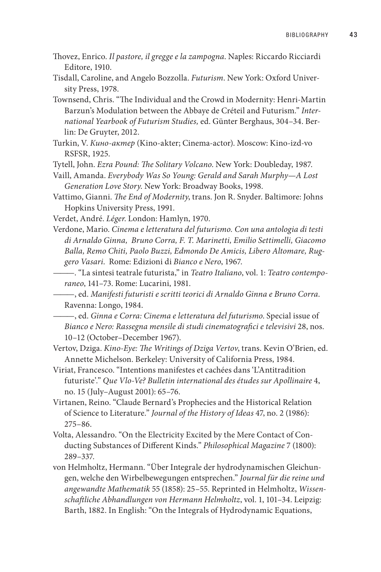- Thovez, Enrico. *Il pastore, il gregge e la zampogna*. Naples: Riccardo Ricciardi Editore, 1910.
- Tisdall, Caroline, and Angelo Bozzolla. *Futurism*. New York: Oxford University Press, 1978.
- Townsend, Chris. "The Individual and the Crowd in Modernity: Henri-Martin Barzun's Modulation between the Abbaye de Créteil and Futurism." *International Yearbook of Futurism Studies,* ed. Günter Berghaus, 304–34. Berlin: De Gruyter, 2012.
- Turkin, V. *Кино-актер* (Kino-akter; Cinema-actor). Moscow: Kino-izd-vo RSFSR, 1925.
- Tytell, John. *Ezra Pound: The Solitary Volcano*. New York: Doubleday, 1987.
- Vaill, Amanda. *Everybody Was So Young: Gerald and Sarah Murphy—A Lost Generation Love Story*. New York: Broadway Books, 1998.
- Vattimo, Gianni. *The End of Modernity*, trans. Jon R. Snyder. Baltimore: Johns Hopkins University Press, 1991.
- Verdet, André. *Léger*. London: Hamlyn, 1970.
- Verdone, Mario. *Cinema e letteratura del futurismo. Con una antologia di testi di Arnaldo Ginna, Bruno Corra, F. T. Marinetti, Emilio Settimelli, Giacomo Balla, Remo Chiti, Paolo Buzzi, Edmondo De Amicis, Libero Altomare, Ruggero Vasari*. Rome: Edizioni di *Bianco e Nero*, 1967.

———. "La sintesi teatrale futurista," in *Teatro Italiano*, vol. 1: *Teatro contemporaneo*, 141–73. Rome: Lucarini, 1981.

———, ed. *Manifesti futuristi e scritti teorici di Arnaldo Ginna e Bruno Corra*. Ravenna: Longo, 1984.

———, ed. *Ginna e Corra: Cinema e letteratura del futurismo*. Special issue of *Bianco e Nero: Rassegna mensile di studi cinematografici e televisivi* 28, nos. 10–12 (October–December 1967).

- Vertov, Dziga. *Kino-Eye: The Writings of Dziga Vertov*, trans. Kevin O'Brien, ed. Annette Michelson. Berkeley: University of California Press, 1984.
- Viriat, Francesco. "Intentions manifestes et cachées dans 'L'Antitradition futuriste'." *Que Vlo-Ve? Bulletin international des études sur Apollinaire* 4, no. 15 (July–August 2001): 65–76.
- Virtanen, Reino. "Claude Bernard's Prophecies and the Historical Relation of Science to Literature." *Journal of the History of Ideas* 47, no. 2 (1986): 275–86.
- Volta, Alessandro. "On the Electricity Excited by the Mere Contact of Conducting Substances of Different Kinds." *Philosophical Magazine* 7 (1800): 289–337.
- von Helmholtz, Hermann. "Über Integrale der hydrodynamischen Gleichungen, welche den Wirbelbewegungen entsprechen." *Journal für die reine und angewandte Mathematik* 55 (1858): 25–55. Reprinted in Helmholtz, *Wissenschaftliche Abhandlungen von Hermann Helmholtz*, vol. 1, 101–34. Leipzig: Barth, 1882. In English: "On the Integrals of Hydrodynamic Equations,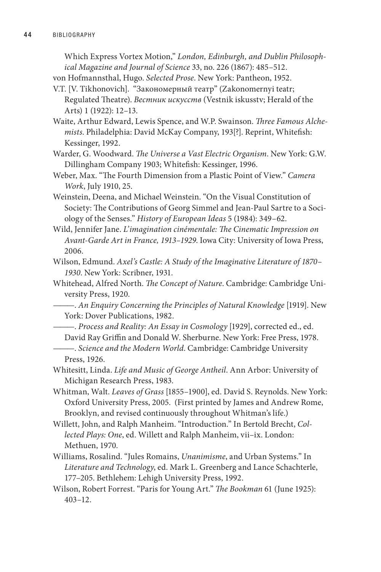Which Express Vortex Motion," *London, Edinburgh, and Dublin Philosophical Magazine and Journal of Science* 33, no. 226 (1867): 485–512.

von Hofmannsthal, Hugo. *Selected Prose*. New York: Pantheon, 1952.

- V.T. [V. Tikhonovich]. "Закономерный театр" (Zakonomernyi teatr; Regulated Theatre). *Вестник искусств* (Vestnik iskusstv; Herald of the Arts) 1 (1922): 12–13.
- Waite, Arthur Edward, Lewis Spence, and W.P. Swainson. *Three Famous Alchemists*. Philadelphia: David McKay Company, 193[?]. Reprint, Whitefish: Kessinger, 1992.
- Warder, G. Woodward. *The Universe a Vast Electric Organism*. New York: G.W. Dillingham Company 1903; Whitefish: Kessinger, 1996.
- Weber, Max. "The Fourth Dimension from a Plastic Point of View." *Camera Work*, July 1910, 25.
- Weinstein, Deena, and Michael Weinstein. "On the Visual Constitution of Society: The Contributions of Georg Simmel and Jean-Paul Sartre to a Sociology of the Senses." *History of European Ideas* 5 (1984): 349–62.
- Wild, Jennifer Jane. *L'imagination cinémentale: The Cinematic Impression on Avant-Garde Art in France, 1913–1929*. Iowa City: University of Iowa Press, 2006.
- Wilson, Edmund. *Axel's Castle: A Study of the Imaginative Literature of 1870– 1930*. New York: Scribner, 1931.
- Whitehead, Alfred North. *The Concept of Nature*. Cambridge: Cambridge University Press, 1920.

———. *An Enquiry Concerning the Principles of Natural Knowledge* [1919]. New York: Dover Publications, 1982.

- ———. *Process and Reality: An Essay in Cosmology* [1929], corrected ed., ed.
- David Ray Griffin and Donald W. Sherburne. New York: Free Press, 1978. ———. *Science and the Modern World*. Cambridge: Cambridge University
	- Press, 1926.
- Whitesitt, Linda. *Life and Music of George Antheil*. Ann Arbor: University of Michigan Research Press, 1983.
- Whitman, Walt. *Leaves of Grass* [1855–1900], ed. David S. Reynolds. New York: Oxford University Press, 2005. (First printed by James and Andrew Rome, Brooklyn, and revised continuously throughout Whitman's life.)
- Willett, John, and Ralph Manheim. "Introduction." In Bertold Brecht, *Collected Plays: One*, ed. Willett and Ralph Manheim, vii–ix. London: Methuen, 1970.
- Williams, Rosalind. "Jules Romains, *Unanimisme*, and Urban Systems." In *Literature and Technology*, ed. Mark L. Greenberg and Lance Schachterle, 177–205. Bethlehem: Lehigh University Press, 1992.
- Wilson, Robert Forrest. "Paris for Young Art." *The Bookman* 61 (June 1925): 403–12.